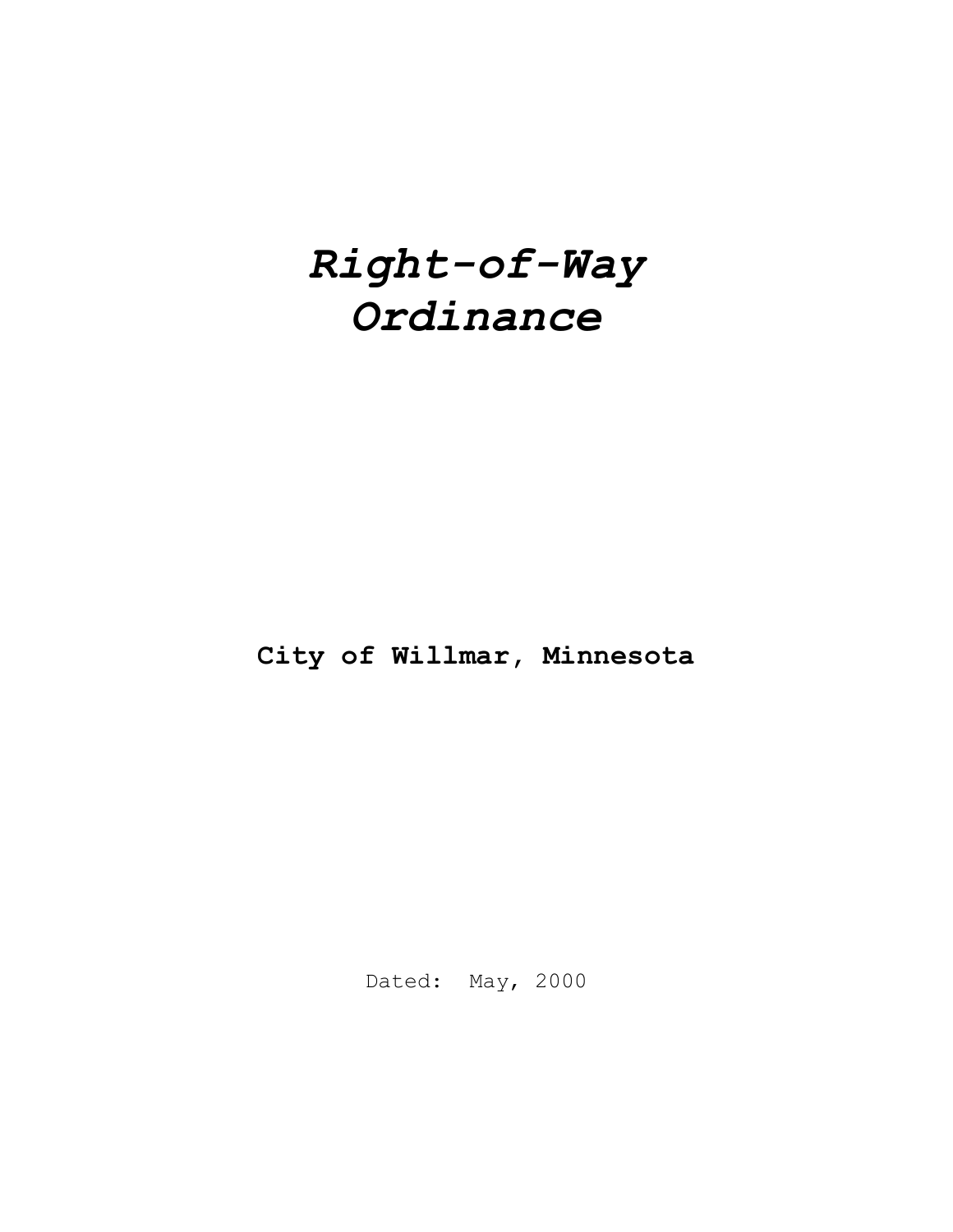# *Right-of-Way Ordinance*

**City of Willmar, Minnesota**

Dated: May, 2000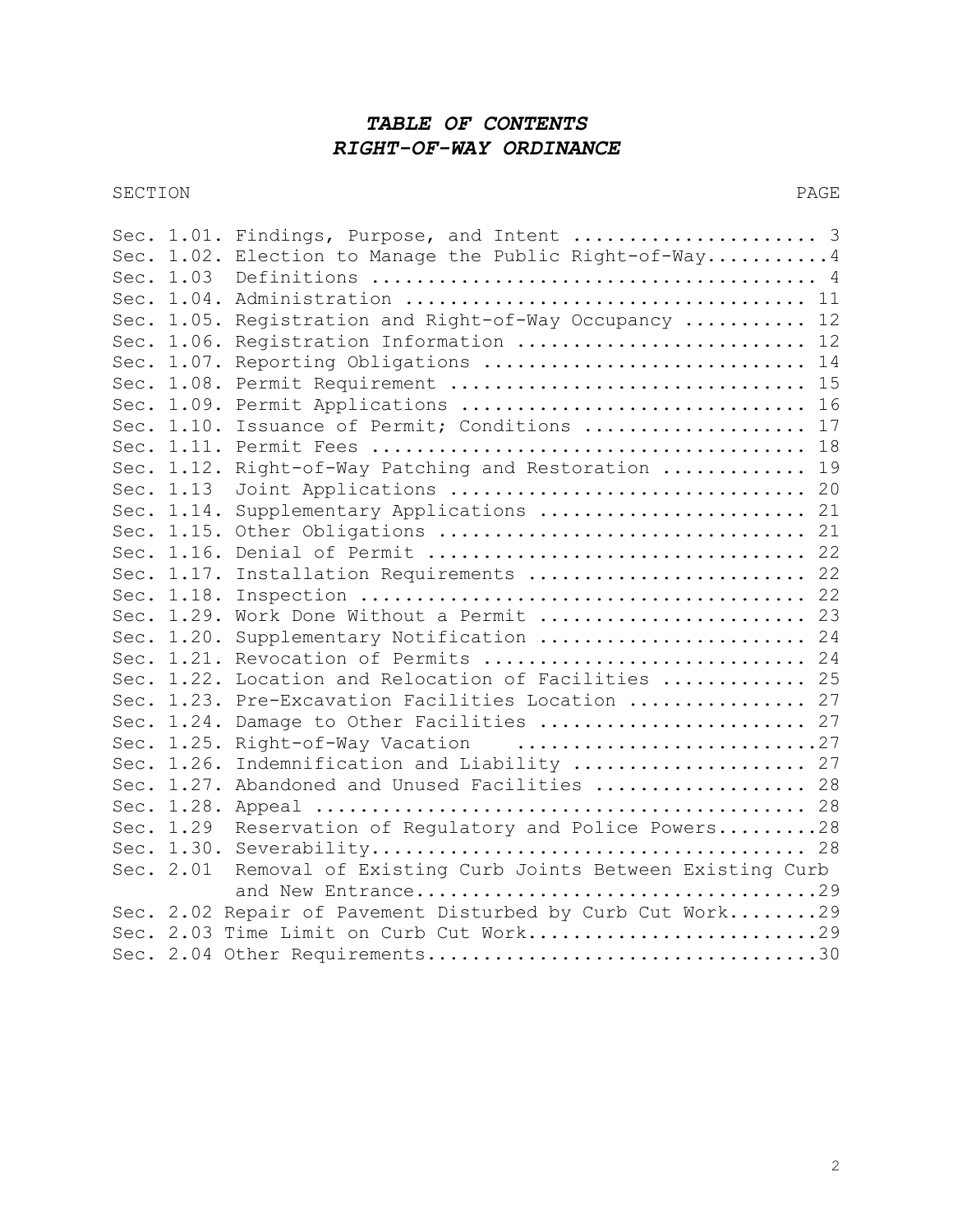# *TABLE OF CONTENTS RIGHT-OF-WAY ORDINANCE*

SECTION PAGE

| Sec. |            | 1.01. Findings, Purpose, and Intent  3                  |
|------|------------|---------------------------------------------------------|
|      |            | Sec. 1.02. Election to Manage the Public Right-of-Way 4 |
|      | Sec. 1.03  |                                                         |
|      |            |                                                         |
|      |            | Sec. 1.05. Registration and Right-of-Way Occupancy  12  |
|      |            | Sec. 1.06. Registration Information  12                 |
|      |            | Sec. 1.07. Reporting Obligations  14                    |
|      |            | Sec. 1.08. Permit Requirement  15                       |
|      |            | Sec. 1.09. Permit Applications  16                      |
|      | Sec. 1.10. | Issuance of Permit; Conditions  17                      |
|      |            |                                                         |
|      | Sec. 1.12. | 19<br>Right-of-Way Patching and Restoration             |
|      | Sec. 1.13  | Joint Applications  20                                  |
|      | Sec. 1.14. | Supplementary Applications  21                          |
|      |            |                                                         |
|      |            |                                                         |
|      | Sec. 1.17. | Installation Requirements  22                           |
|      | Sec. 1.18. |                                                         |
|      | Sec. 1.29. | Work Done Without a Permit  23                          |
|      |            | Sec. 1.20. Supplementary Notification  24               |
|      |            | Sec. 1.21. Revocation of Permits  24                    |
|      |            | Sec. 1.22. Location and Relocation of Facilities  25    |
|      |            | Sec. 1.23. Pre-Excavation Facilities Location  27       |
|      | Sec. 1.24. | Damage to Other Facilities  27                          |
|      | Sec. 1.25. | Right-of-Way Vacation 27                                |
|      | Sec. 1.26. | Indemnification and Liability  27                       |
|      |            | Sec. 1.27. Abandoned and Unused Facilities  28          |
|      |            |                                                         |
|      | Sec. 1.29  | Reservation of Regulatory and Police Powers28           |
|      |            |                                                         |
|      | Sec. 2.01  | Removal of Existing Curb Joints Between Existing Curb   |
|      |            | and New Entrance29                                      |
|      | Sec. 2.02  | Repair of Pavement Disturbed by Curb Cut Work29         |
|      |            | Sec. 2.03 Time Limit on Curb Cut Work29                 |
|      |            |                                                         |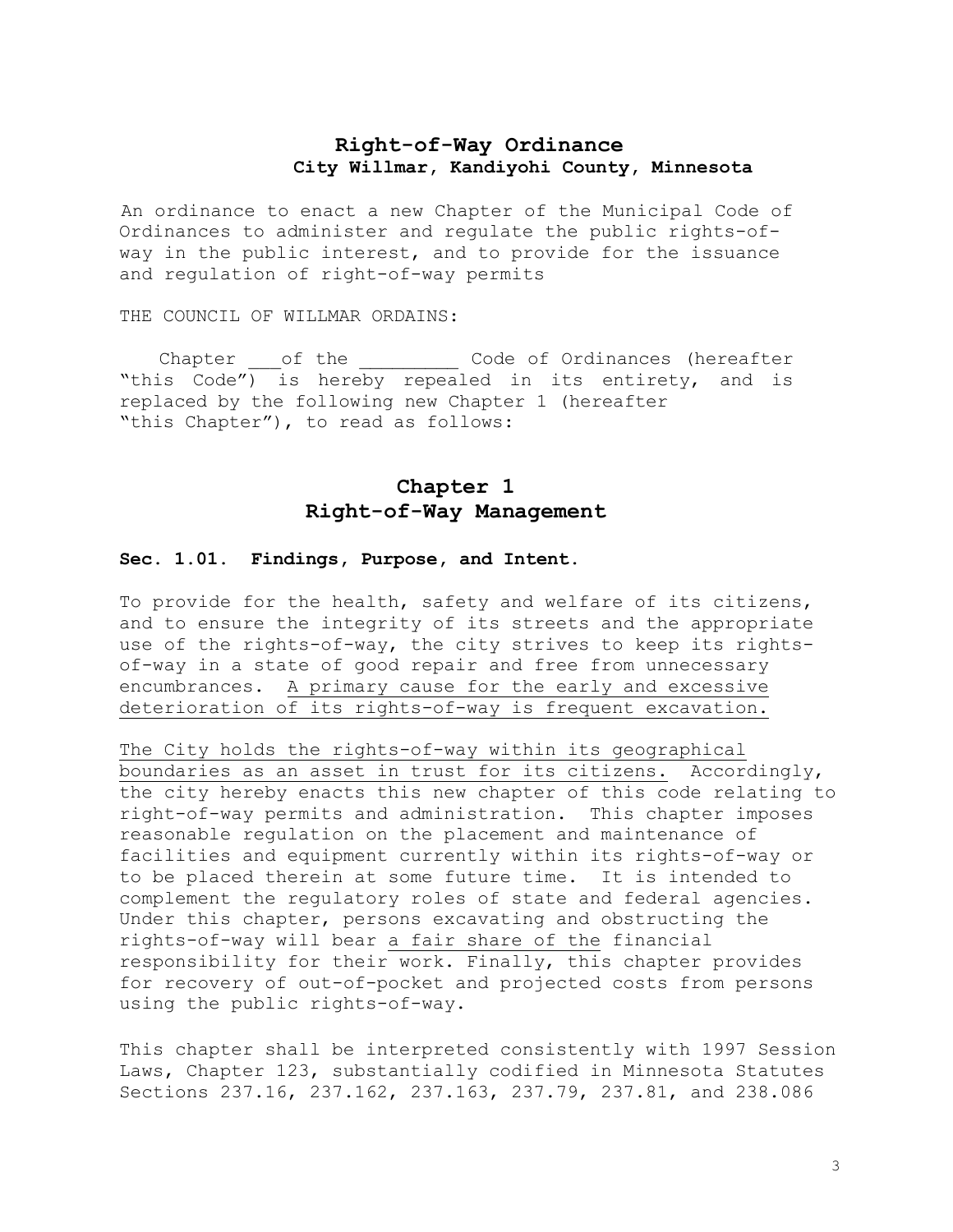# **Right-of-Way Ordinance City Willmar, Kandiyohi County, Minnesota**

An ordinance to enact a new Chapter of the Municipal Code of Ordinances to administer and regulate the public rights-ofway in the public interest, and to provide for the issuance and regulation of right-of-way permits

THE COUNCIL OF WILLMAR ORDAINS:

Chapter \_\_\_of the *\_\_\_\_\_\_\_\_\_* Code of Ordinances (hereafter "this Code") is hereby repealed in its entirety, and is replaced by the following new Chapter 1 (hereafter "this Chapter"), to read as follows:

# **Chapter 1 Right-of-Way Management**

#### **Sec. 1.01. Findings, Purpose, and Intent.**

To provide for the health, safety and welfare of its citizens, and to ensure the integrity of its streets and the appropriate use of the rights-of-way, the city strives to keep its rightsof-way in a state of good repair and free from unnecessary encumbrances. A primary cause for the early and excessive deterioration of its rights-of-way is frequent excavation.

The City holds the rights-of-way within its geographical boundaries as an asset in trust for its citizens. Accordingly, the city hereby enacts this new chapter of this code relating to right-of-way permits and administration. This chapter imposes reasonable regulation on the placement and maintenance of facilities and equipment currently within its rights-of-way or to be placed therein at some future time. It is intended to complement the regulatory roles of state and federal agencies. Under this chapter, persons excavating and obstructing the rights-of-way will bear a fair share of the financial responsibility for their work. Finally, this chapter provides for recovery of out-of-pocket and projected costs from persons using the public rights-of-way.

This chapter shall be interpreted consistently with 1997 Session Laws, Chapter 123, substantially codified in Minnesota Statutes Sections 237.16, 237.162, 237.163, 237.79, 237.81, and 238.086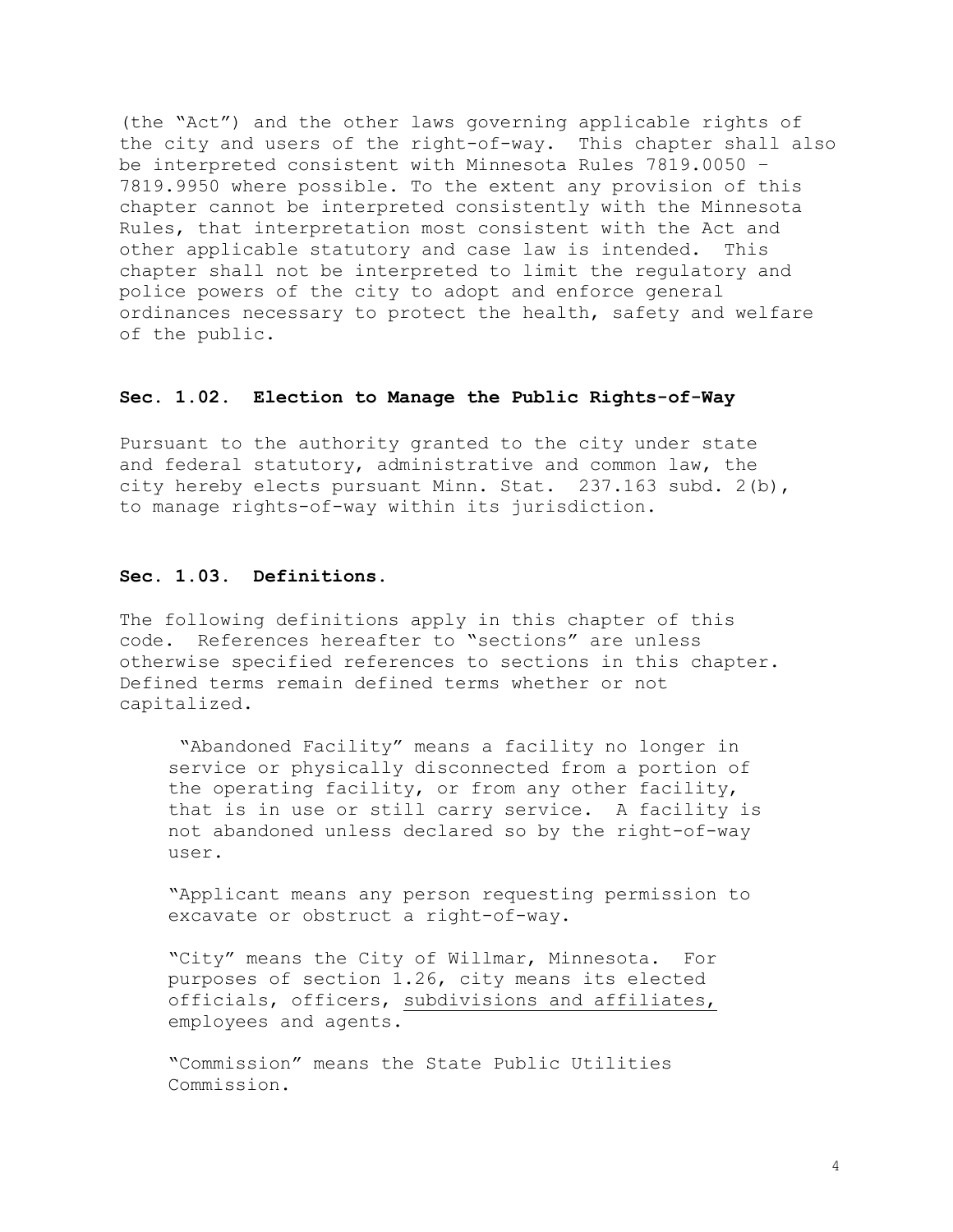(the "Act") and the other laws governing applicable rights of the city and users of the right-of-way. This chapter shall also be interpreted consistent with Minnesota Rules 7819.0050 – 7819.9950 where possible. To the extent any provision of this chapter cannot be interpreted consistently with the Minnesota Rules, that interpretation most consistent with the Act and other applicable statutory and case law is intended. This chapter shall not be interpreted to limit the regulatory and police powers of the city to adopt and enforce general ordinances necessary to protect the health, safety and welfare of the public.

#### **Sec. 1.02. Election to Manage the Public Rights-of-Way**

Pursuant to the authority granted to the city under state and federal statutory, administrative and common law, the city hereby elects pursuant Minn. Stat.  $237.163$  subd.  $2(b)$ , to manage rights-of-way within its jurisdiction.

#### **Sec. 1.03. Definitions.**

The following definitions apply in this chapter of this code. References hereafter to "sections" are unless otherwise specified references to sections in this chapter. Defined terms remain defined terms whether or not capitalized.

"Abandoned Facility" means a facility no longer in service or physically disconnected from a portion of the operating facility, or from any other facility, that is in use or still carry service. A facility is not abandoned unless declared so by the right-of-way user.

"Applicant means any person requesting permission to excavate or obstruct a right-of-way.

"City" means the City of Willmar, Minnesota. For purposes of section 1.26, city means its elected officials, officers, subdivisions and affiliates, employees and agents.

"Commission" means the State Public Utilities Commission.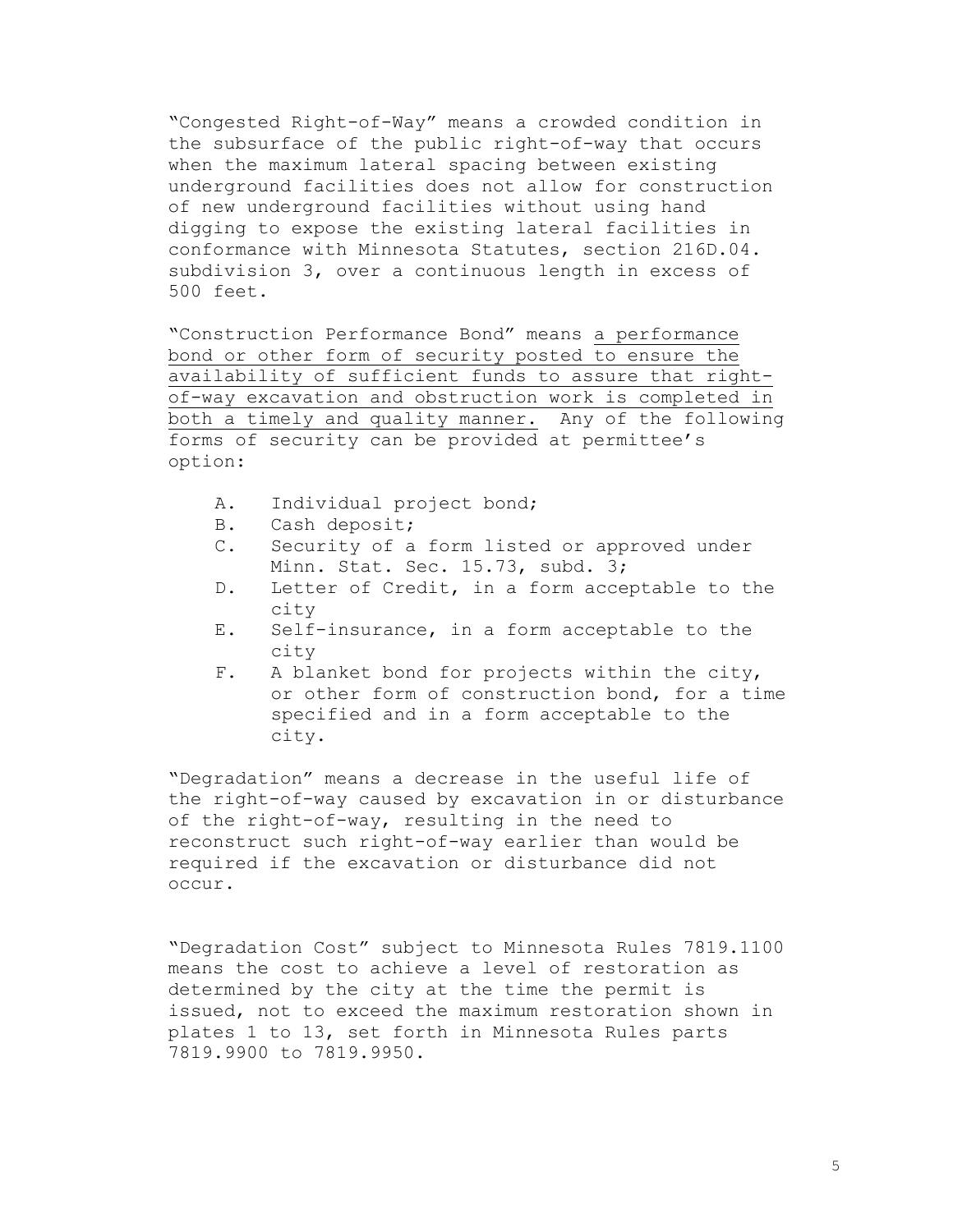"Congested Right-of-Way" means a crowded condition in the subsurface of the public right-of-way that occurs when the maximum lateral spacing between existing underground facilities does not allow for construction of new underground facilities without using hand digging to expose the existing lateral facilities in conformance with Minnesota Statutes, section 216D.04. subdivision 3, over a continuous length in excess of 500 feet.

"Construction Performance Bond" means a performance bond or other form of security posted to ensure the availability of sufficient funds to assure that rightof-way excavation and obstruction work is completed in both a timely and quality manner. Any of the following forms of security can be provided at permittee's option:

- A. Individual project bond;
- B. Cash deposit;
- C. Security of a form listed or approved under Minn. Stat. Sec. 15.73, subd. 3;
- D. Letter of Credit, in a form acceptable to the city
- E. Self-insurance, in a form acceptable to the city
- F. A blanket bond for projects within the city, or other form of construction bond, for a time specified and in a form acceptable to the city.

"Degradation" means a decrease in the useful life of the right-of-way caused by excavation in or disturbance of the right-of-way, resulting in the need to reconstruct such right-of-way earlier than would be required if the excavation or disturbance did not occur.

"Degradation Cost" subject to Minnesota Rules 7819.1100 means the cost to achieve a level of restoration as determined by the city at the time the permit is issued, not to exceed the maximum restoration shown in plates 1 to 13, set forth in Minnesota Rules parts 7819.9900 to 7819.9950.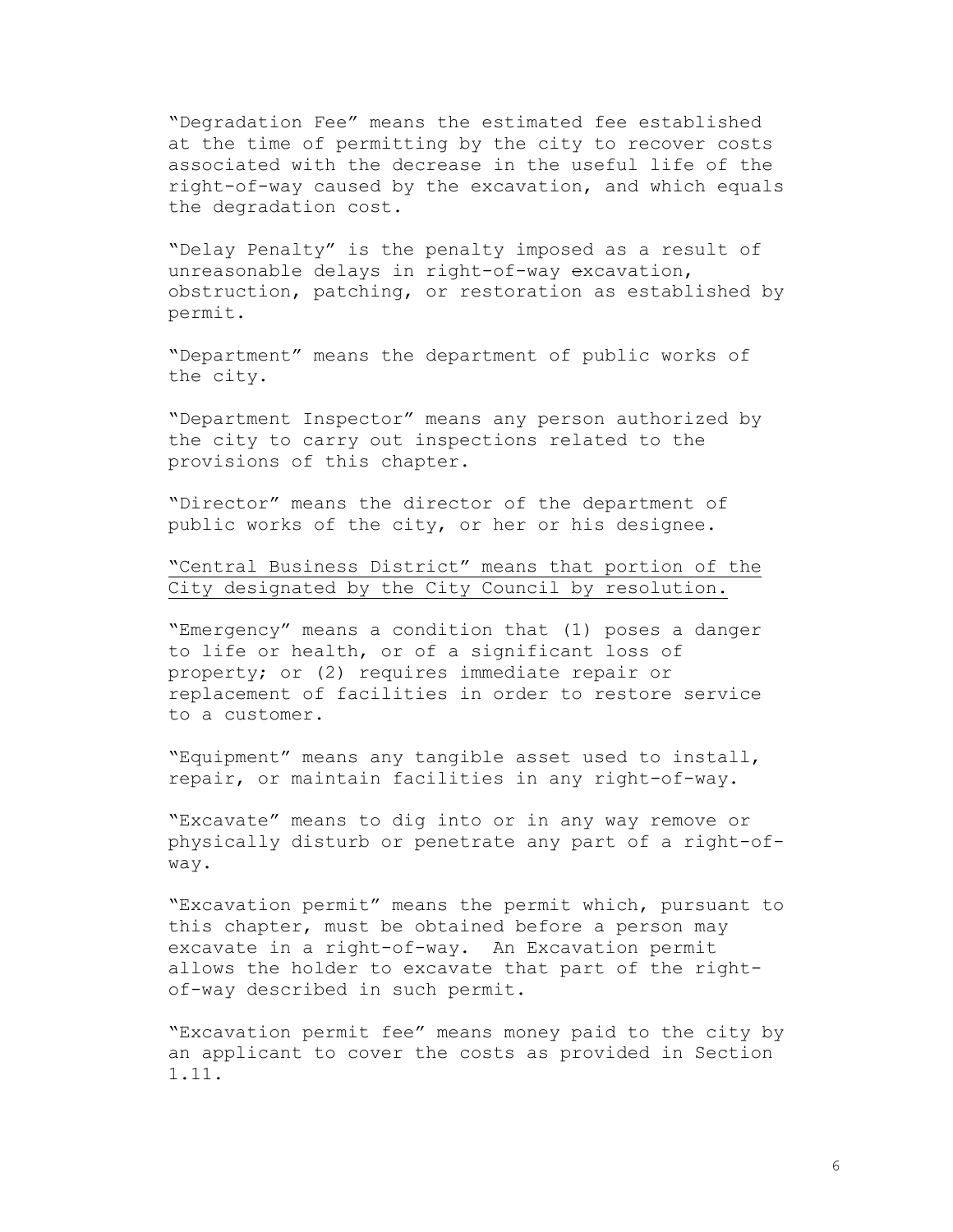"Degradation Fee" means the estimated fee established at the time of permitting by the city to recover costs associated with the decrease in the useful life of the right-of-way caused by the excavation, and which equals the degradation cost.

"Delay Penalty" is the penalty imposed as a result of unreasonable delays in right-of-way excavation, obstruction, patching, or restoration as established by permit.

"Department" means the department of public works of the city.

"Department Inspector" means any person authorized by the city to carry out inspections related to the provisions of this chapter.

"Director" means the director of the department of public works of the city, or her or his designee.

"Central Business District" means that portion of the City designated by the City Council by resolution.

"Emergency" means a condition that (1) poses a danger to life or health, or of a significant loss of property; or (2) requires immediate repair or replacement of facilities in order to restore service to a customer.

"Equipment" means any tangible asset used to install, repair, or maintain facilities in any right-of-way.

"Excavate" means to dig into or in any way remove or physically disturb or penetrate any part of a right-ofway.

"Excavation permit" means the permit which, pursuant to this chapter, must be obtained before a person may excavate in a right-of-way. An Excavation permit allows the holder to excavate that part of the rightof-way described in such permit.

"Excavation permit fee" means money paid to the city by an applicant to cover the costs as provided in Section 1.11.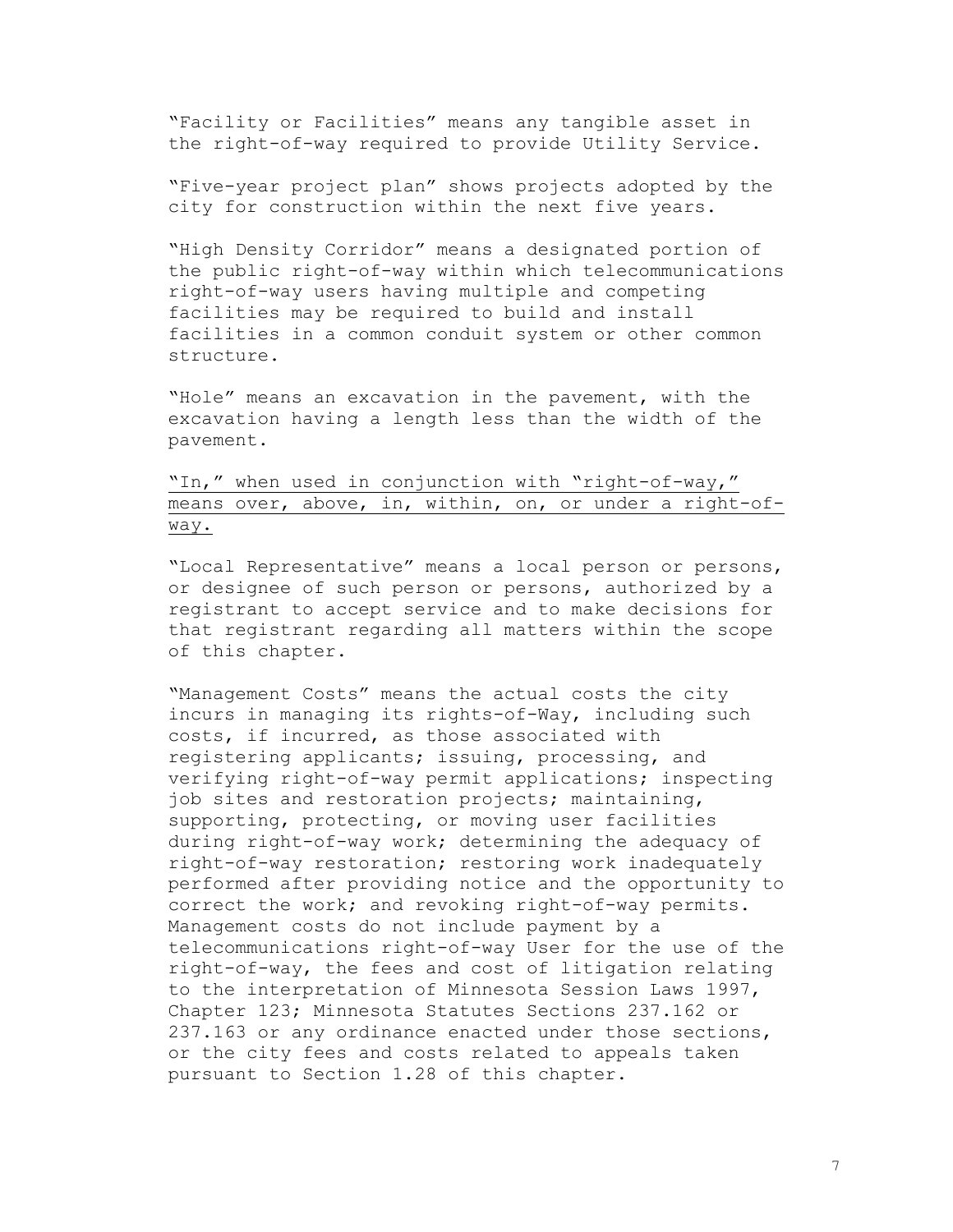"Facility or Facilities" means any tangible asset in the right-of-way required to provide Utility Service.

"Five-year project plan" shows projects adopted by the city for construction within the next five years.

"High Density Corridor" means a designated portion of the public right-of-way within which telecommunications right-of-way users having multiple and competing facilities may be required to build and install facilities in a common conduit system or other common structure.

"Hole" means an excavation in the pavement, with the excavation having a length less than the width of the pavement.

# "In," when used in conjunction with "right-of-way," means over, above, in, within, on, or under a right-ofway.

"Local Representative" means a local person or persons, or designee of such person or persons, authorized by a registrant to accept service and to make decisions for that registrant regarding all matters within the scope of this chapter.

"Management Costs" means the actual costs the city incurs in managing its rights-of-Way, including such costs, if incurred, as those associated with registering applicants; issuing, processing, and verifying right-of-way permit applications; inspecting job sites and restoration projects; maintaining, supporting, protecting, or moving user facilities during right-of-way work; determining the adequacy of right-of-way restoration; restoring work inadequately performed after providing notice and the opportunity to correct the work; and revoking right-of-way permits. Management costs do not include payment by a telecommunications right-of-way User for the use of the right-of-way, the fees and cost of litigation relating to the interpretation of Minnesota Session Laws 1997, Chapter 123; Minnesota Statutes Sections 237.162 or 237.163 or any ordinance enacted under those sections, or the city fees and costs related to appeals taken pursuant to Section 1.28 of this chapter.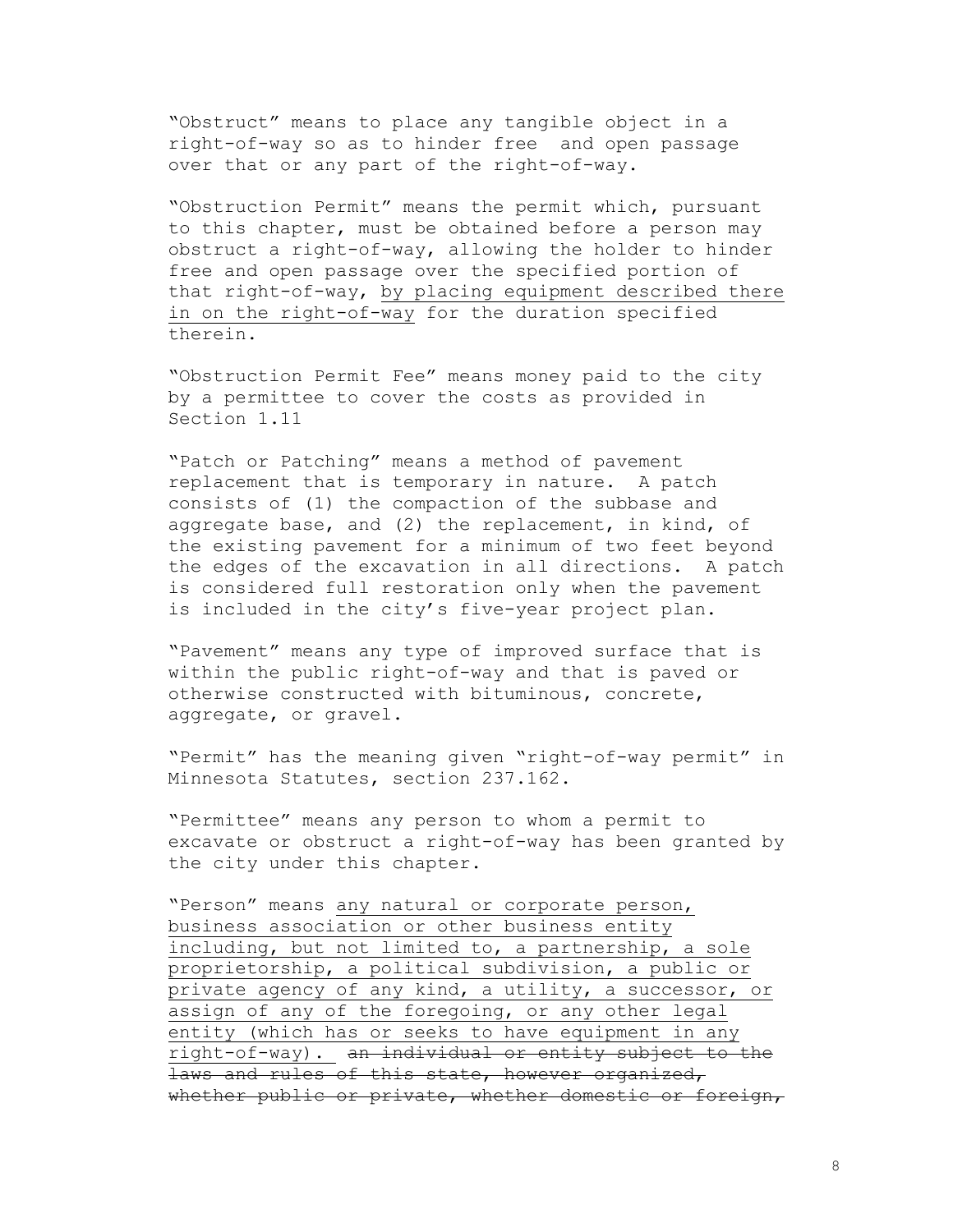"Obstruct" means to place any tangible object in a right-of-way so as to hinder free and open passage over that or any part of the right-of-way.

"Obstruction Permit" means the permit which, pursuant to this chapter, must be obtained before a person may obstruct a right-of-way, allowing the holder to hinder free and open passage over the specified portion of that right-of-way, by placing equipment described there in on the right-of-way for the duration specified therein.

"Obstruction Permit Fee" means money paid to the city by a permittee to cover the costs as provided in Section 1.11

"Patch or Patching" means a method of pavement replacement that is temporary in nature. A patch consists of (1) the compaction of the subbase and aggregate base, and (2) the replacement, in kind, of the existing pavement for a minimum of two feet beyond the edges of the excavation in all directions. A patch is considered full restoration only when the pavement is included in the city's five-year project plan.

"Pavement" means any type of improved surface that is within the public right-of-way and that is paved or otherwise constructed with bituminous, concrete, aggregate, or gravel.

"Permit" has the meaning given "right-of-way permit" in Minnesota Statutes, section 237.162.

"Permittee" means any person to whom a permit to excavate or obstruct a right-of-way has been granted by the city under this chapter.

"Person" means any natural or corporate person, business association or other business entity including, but not limited to, a partnership, a sole proprietorship, a political subdivision, a public or private agency of any kind, a utility, a successor, or assign of any of the foregoing, or any other legal entity (which has or seeks to have equipment in any right-of-way). an individual or entity subject to the laws and rules of this state, however organized, whether public or private, whether domestic or foreign,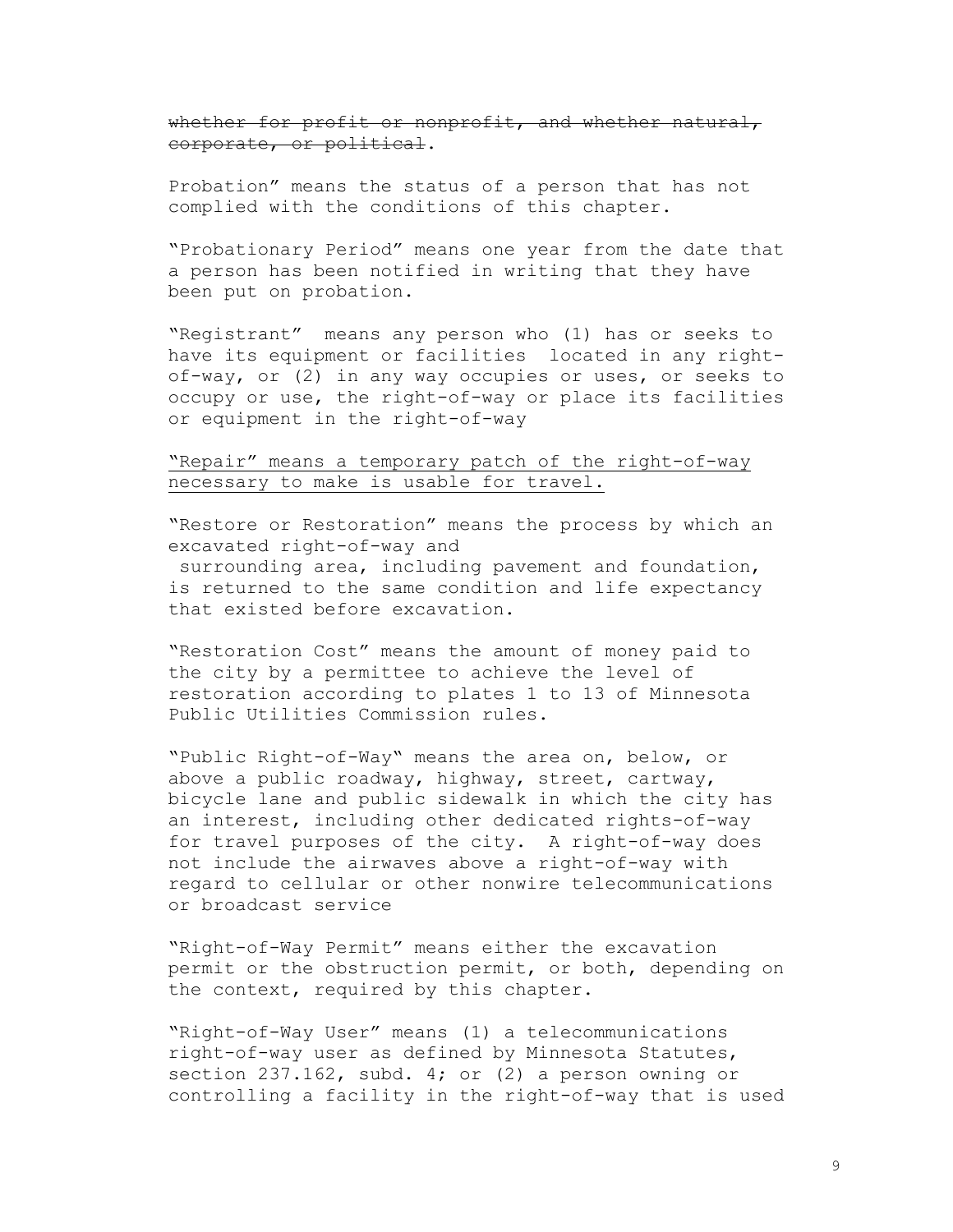whether for profit or nonprofit, and whether natural, corporate, or political.

Probation" means the status of a person that has not complied with the conditions of this chapter.

"Probationary Period" means one year from the date that a person has been notified in writing that they have been put on probation.

"Registrant" means any person who (1) has or seeks to have its equipment or facilities located in any rightof-way, or (2) in any way occupies or uses, or seeks to occupy or use, the right-of-way or place its facilities or equipment in the right-of-way

# "Repair" means a temporary patch of the right-of-way necessary to make is usable for travel.

"Restore or Restoration" means the process by which an excavated right-of-way and

surrounding area, including pavement and foundation, is returned to the same condition and life expectancy that existed before excavation.

"Restoration Cost" means the amount of money paid to the city by a permittee to achieve the level of restoration according to plates 1 to 13 of Minnesota Public Utilities Commission rules.

"Public Right-of-Way" means the area on, below, or above a public roadway, highway, street, cartway, bicycle lane and public sidewalk in which the city has an interest, including other dedicated rights-of-way for travel purposes of the city. A right-of-way does not include the airwaves above a right-of-way with regard to cellular or other nonwire telecommunications or broadcast service

"Right-of-Way Permit" means either the excavation permit or the obstruction permit, or both, depending on the context, required by this chapter.

"Right-of-Way User" means (1) a telecommunications right-of-way user as defined by Minnesota Statutes, section 237.162, subd. 4; or (2) a person owning or controlling a facility in the right-of-way that is used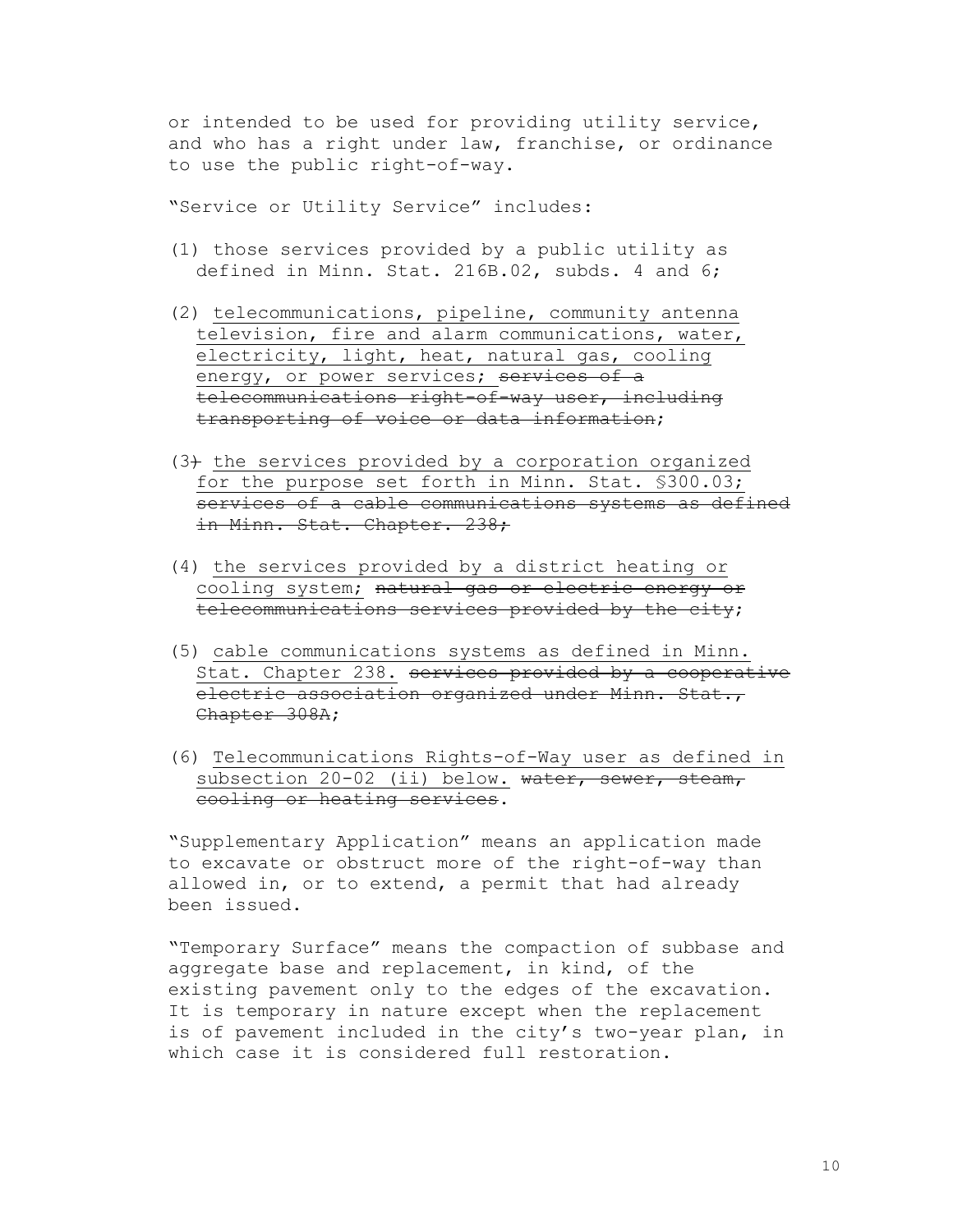or intended to be used for providing utility service, and who has a right under law, franchise, or ordinance to use the public right-of-way.

"Service or Utility Service" includes:

- (1) those services provided by a public utility as defined in Minn. Stat. 216B.02, subds. 4 and 6;
- (2) telecommunications, pipeline, community antenna television, fire and alarm communications, water, electricity, light, heat, natural gas, cooling energy, or power services; services of a telecommunications right-of-way user, including transporting of voice or data information;
- $(3)$  the services provided by a corporation organized for the purpose set forth in Minn. Stat. §300.03; services of a cable communications systems as defined in Minn. Stat. Chapter. 238;
- (4) the services provided by a district heating or cooling system; natural gas or electric energy or telecommunications services provided by the city;
- (5) cable communications systems as defined in Minn. Stat. Chapter 238. services provided by a cooperative electric association organized under Minn. Stat., Chapter 308A;
- (6) Telecommunications Rights-of-Way user as defined in subsection 20-02 (ii) below. water, sewer, steam, cooling or heating services.

"Supplementary Application" means an application made to excavate or obstruct more of the right-of-way than allowed in, or to extend, a permit that had already been issued.

"Temporary Surface" means the compaction of subbase and aggregate base and replacement, in kind, of the existing pavement only to the edges of the excavation. It is temporary in nature except when the replacement is of pavement included in the city's two-year plan, in which case it is considered full restoration.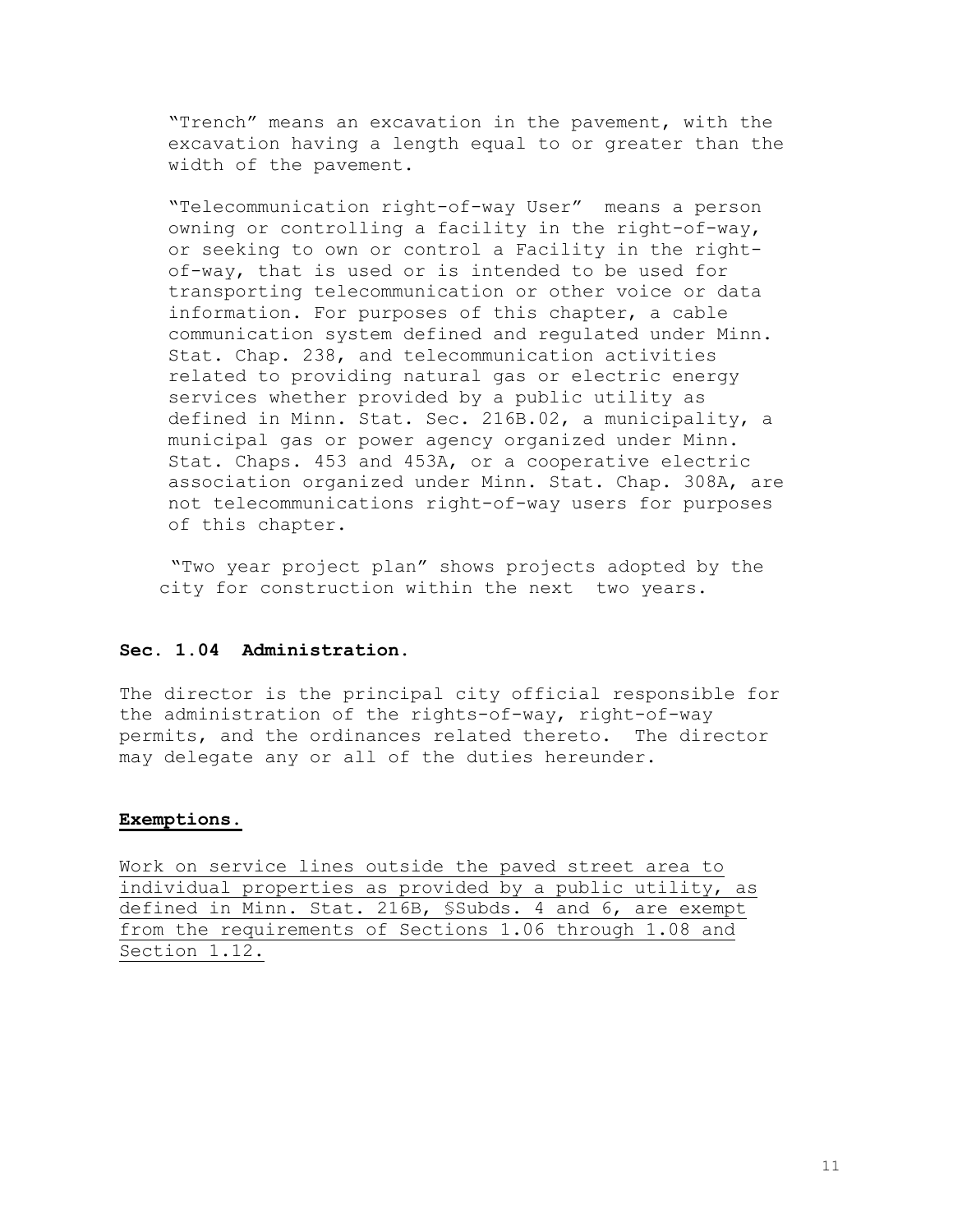"Trench" means an excavation in the pavement, with the excavation having a length equal to or greater than the width of the pavement.

"Telecommunication right-of-way User" means a person owning or controlling a facility in the right-of-way, or seeking to own or control a Facility in the rightof-way, that is used or is intended to be used for transporting telecommunication or other voice or data information. For purposes of this chapter, a cable communication system defined and regulated under Minn. Stat. Chap. 238, and telecommunication activities related to providing natural gas or electric energy services whether provided by a public utility as defined in Minn. Stat. Sec. 216B.02, a municipality, a municipal gas or power agency organized under Minn. Stat. Chaps. 453 and 453A, or a cooperative electric association organized under Minn. Stat. Chap. 308A, are not telecommunications right-of-way users for purposes of this chapter.

"Two year project plan" shows projects adopted by the city for construction within the next two years.

# **Sec. 1.04 Administration.**

The director is the principal city official responsible for the administration of the rights-of-way, right-of-way permits, and the ordinances related thereto. The director may delegate any or all of the duties hereunder.

#### **Exemptions.**

Work on service lines outside the paved street area to individual properties as provided by a public utility, as defined in Minn. Stat. 216B, §Subds. 4 and 6, are exempt from the requirements of Sections 1.06 through 1.08 and Section 1.12.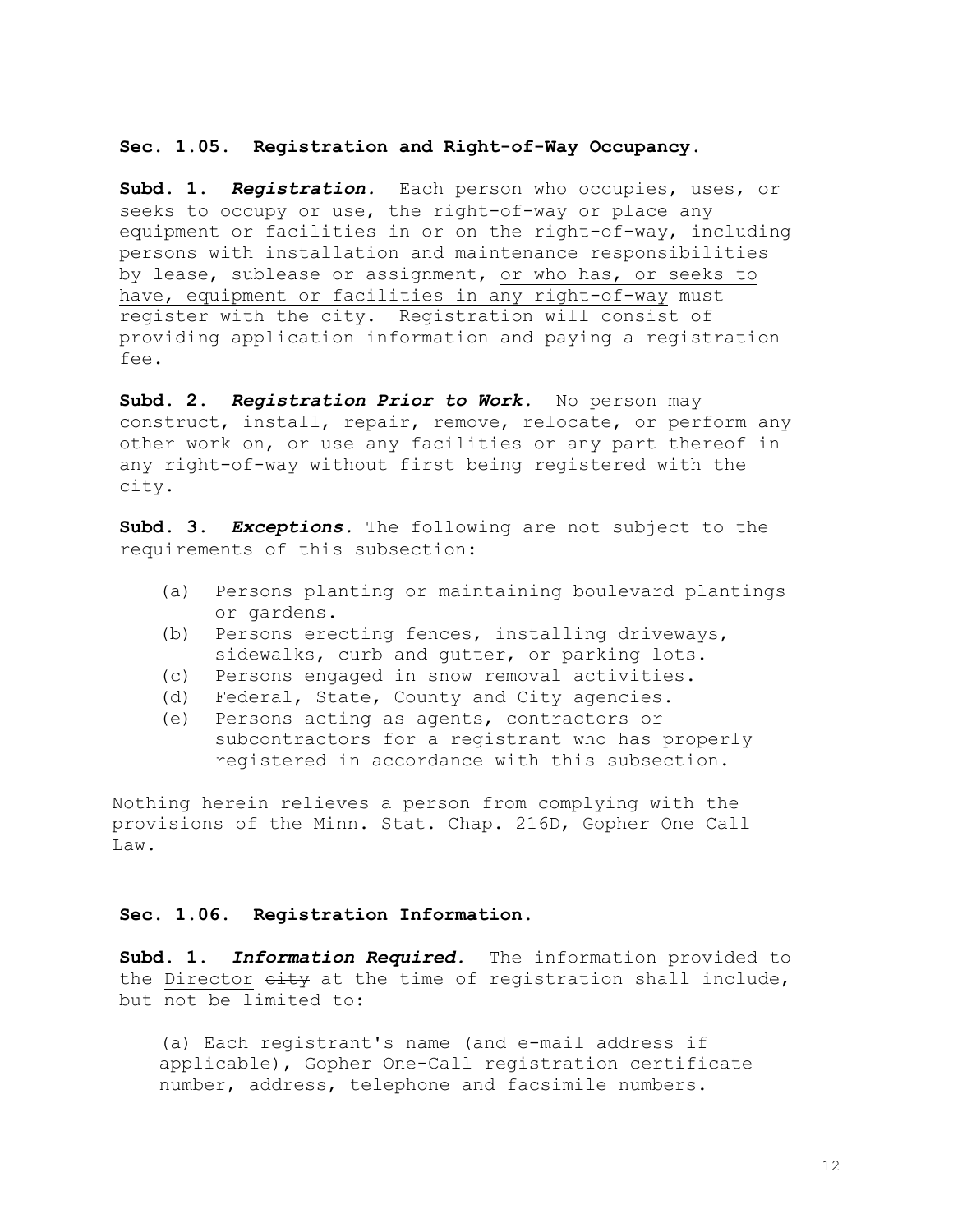#### **Sec. 1.05. Registration and Right-of-Way Occupancy.**

**Subd. 1.** *Registration.* Each person who occupies, uses, or seeks to occupy or use, the right-of-way or place any equipment or facilities in or on the right-of-way, including persons with installation and maintenance responsibilities by lease, sublease or assignment, or who has, or seeks to have, equipment or facilities in any right-of-way must register with the city. Registration will consist of providing application information and paying a registration fee.

**Subd. 2.** *Registration Prior to Work.* No person may construct, install, repair, remove, relocate, or perform any other work on, or use any facilities or any part thereof in any right-of-way without first being registered with the city.

**Subd. 3.** *Exceptions.* The following are not subject to the requirements of this subsection:

- (a) Persons planting or maintaining boulevard plantings or gardens.
- (b) Persons erecting fences, installing driveways, sidewalks, curb and qutter, or parking lots.
- (c) Persons engaged in snow removal activities.
- (d) Federal, State, County and City agencies.
- (e) Persons acting as agents, contractors or subcontractors for a registrant who has properly registered in accordance with this subsection.

Nothing herein relieves a person from complying with the provisions of the Minn. Stat. Chap. 216D, Gopher One Call Law.

#### **Sec. 1.06. Registration Information.**

**Subd. 1.** *Information Required.* The information provided to the Director eity at the time of registration shall include, but not be limited to:

(a) Each registrant's name (and e-mail address if applicable), Gopher One-Call registration certificate number, address, telephone and facsimile numbers.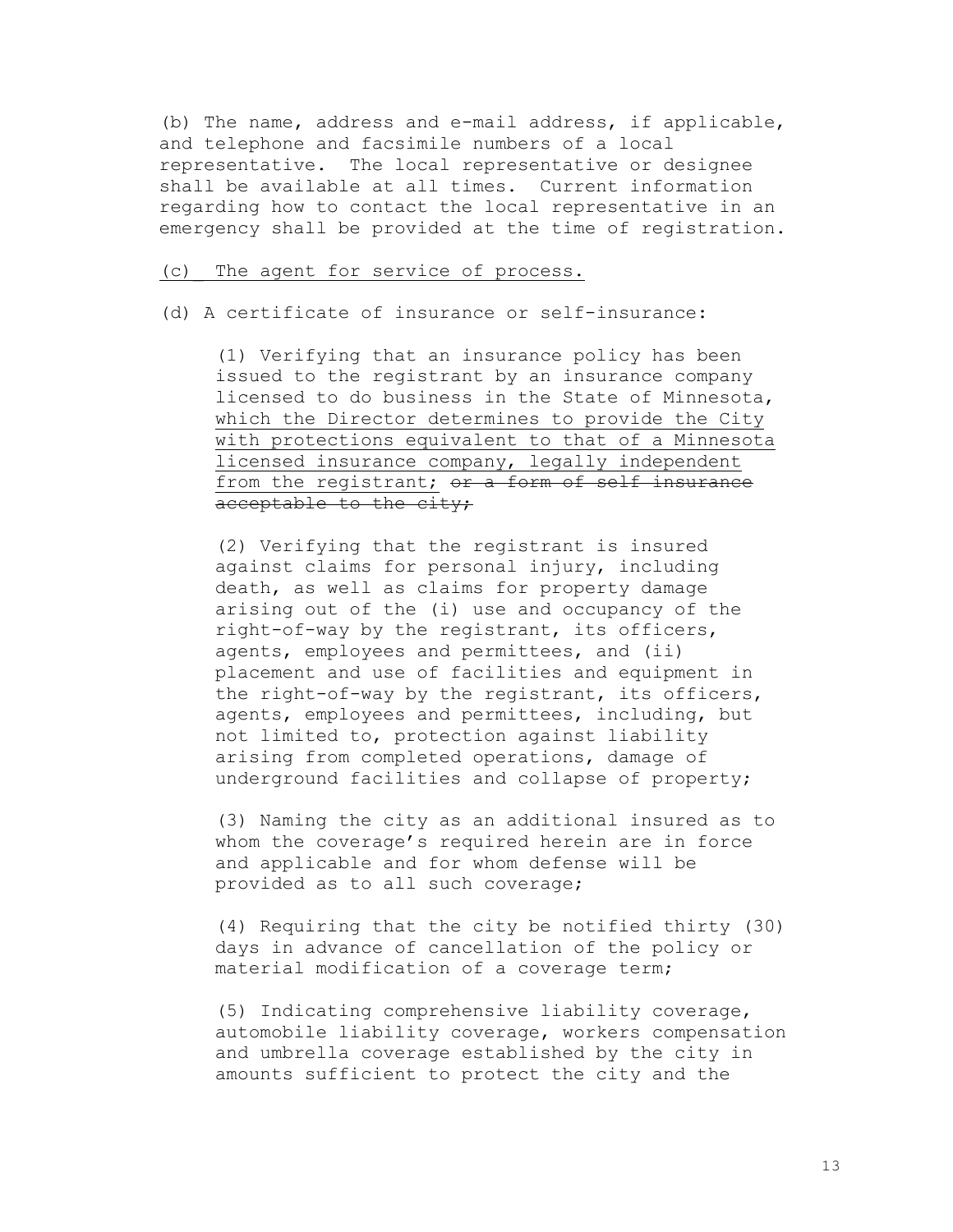(b) The name, address and e-mail address, if applicable, and telephone and facsimile numbers of a local representative. The local representative or designee shall be available at all times. Current information regarding how to contact the local representative in an emergency shall be provided at the time of registration.

#### (c)\_ The agent for service of process.

(d) A certificate of insurance or self-insurance:

(1) Verifying that an insurance policy has been issued to the registrant by an insurance company licensed to do business in the State of Minnesota, which the Director determines to provide the City with protections equivalent to that of a Minnesota licensed insurance company, legally independent from the registrant; or a form of self insurance acceptable to the city;

(2) Verifying that the registrant is insured against claims for personal injury, including death, as well as claims for property damage arising out of the (i) use and occupancy of the right-of-way by the registrant, its officers, agents, employees and permittees, and (ii) placement and use of facilities and equipment in the right-of-way by the registrant, its officers, agents, employees and permittees, including, but not limited to, protection against liability arising from completed operations, damage of underground facilities and collapse of property;

(3) Naming the city as an additional insured as to whom the coverage's required herein are in force and applicable and for whom defense will be provided as to all such coverage;

(4) Requiring that the city be notified thirty (30) days in advance of cancellation of the policy or material modification of a coverage term;

(5) Indicating comprehensive liability coverage, automobile liability coverage, workers compensation and umbrella coverage established by the city in amounts sufficient to protect the city and the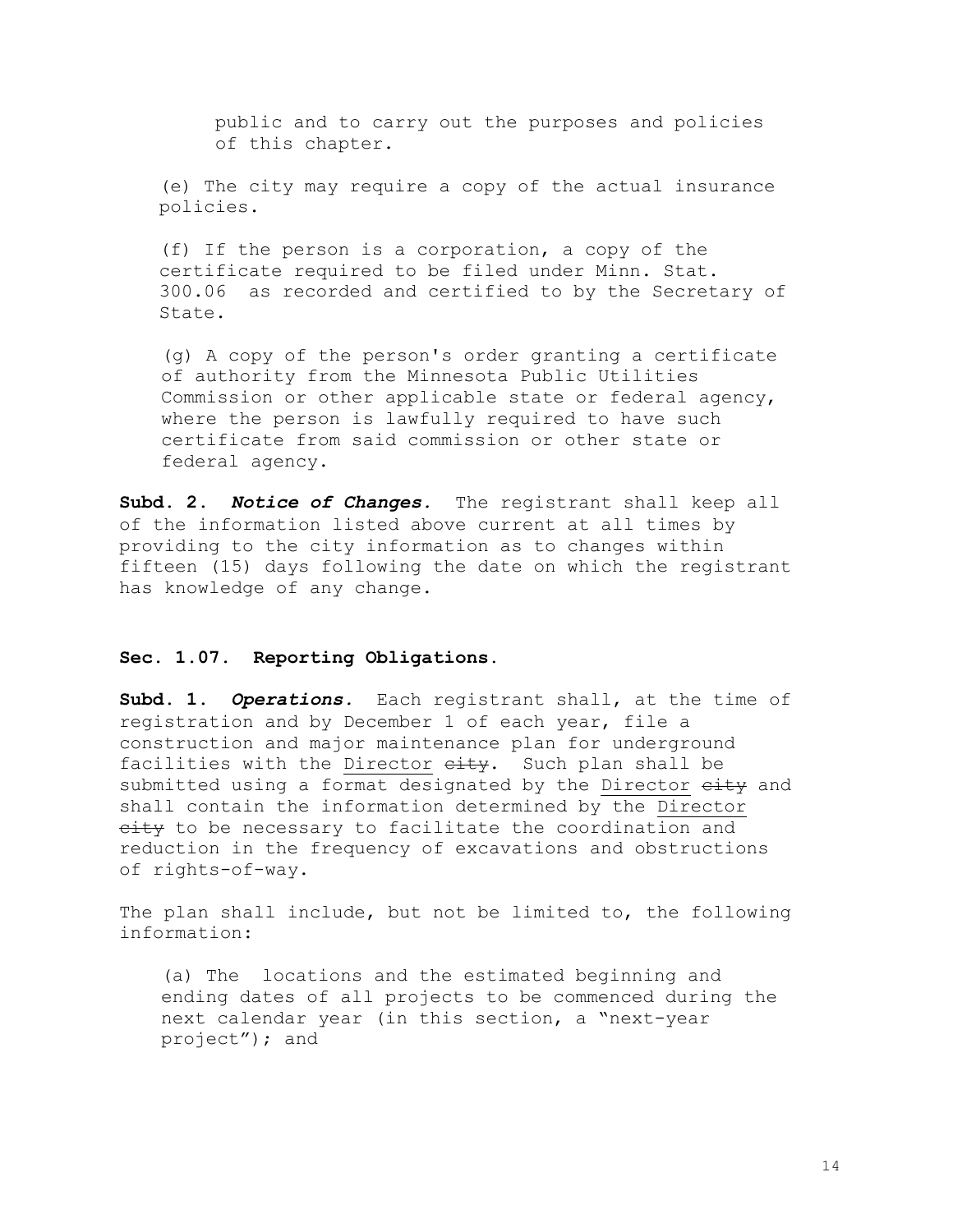public and to carry out the purposes and policies of this chapter.

(e) The city may require a copy of the actual insurance policies.

(f) If the person is a corporation, a copy of the certificate required to be filed under Minn. Stat. 300.06 as recorded and certified to by the Secretary of State.

(g) A copy of the person's order granting a certificate of authority from the Minnesota Public Utilities Commission or other applicable state or federal agency, where the person is lawfully required to have such certificate from said commission or other state or federal agency.

**Subd. 2.** *Notice of Changes.* The registrant shall keep all of the information listed above current at all times by providing to the city information as to changes within fifteen (15) days following the date on which the registrant has knowledge of any change.

## **Sec. 1.07. Reporting Obligations.**

**Subd. 1.** *Operations.* Each registrant shall, at the time of registration and by December 1 of each year, file a construction and major maintenance plan for underground facilities with the Director eity. Such plan shall be submitted using a format designated by the Director eity and shall contain the information determined by the Director eity to be necessary to facilitate the coordination and reduction in the frequency of excavations and obstructions of rights-of-way.

The plan shall include, but not be limited to, the following information:

(a) The locations and the estimated beginning and ending dates of all projects to be commenced during the next calendar year (in this section, a "next-year project"); and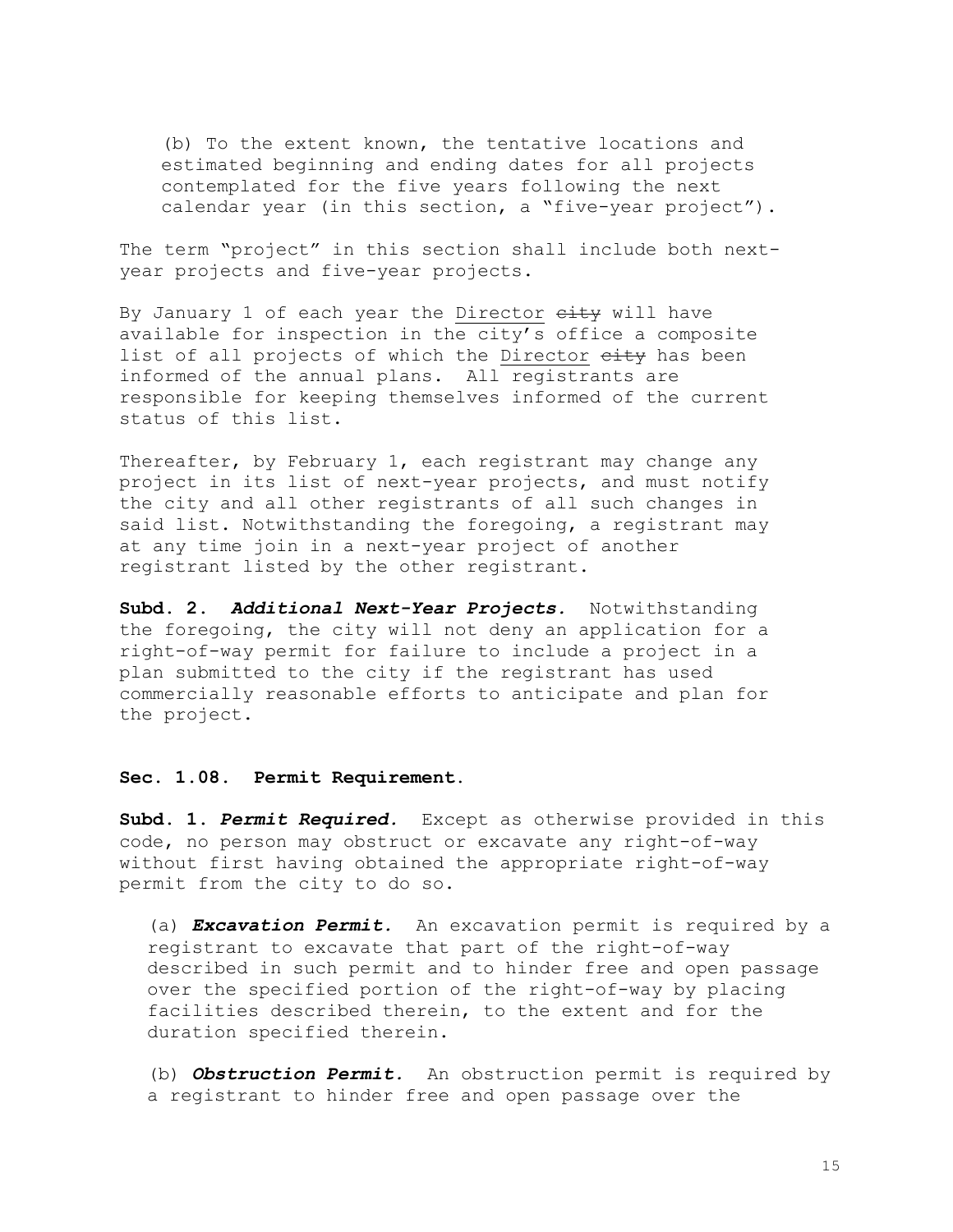(b) To the extent known, the tentative locations and estimated beginning and ending dates for all projects contemplated for the five years following the next calendar year (in this section, a "five-year project").

The term "project" in this section shall include both nextyear projects and five-year projects.

By January 1 of each year the Director eity will have available for inspection in the city's office a composite list of all projects of which the Director eity has been informed of the annual plans. All registrants are responsible for keeping themselves informed of the current status of this list.

Thereafter, by February 1, each registrant may change any project in its list of next-year projects, and must notify the city and all other registrants of all such changes in said list. Notwithstanding the foregoing, a registrant may at any time join in a next-year project of another registrant listed by the other registrant.

**Subd. 2.** *Additional Next-Year Projects.* Notwithstanding the foregoing, the city will not deny an application for a right-of-way permit for failure to include a project in a plan submitted to the city if the registrant has used commercially reasonable efforts to anticipate and plan for the project.

#### **Sec. 1.08. Permit Requirement**.

**Subd. 1.** *Permit Required.* Except as otherwise provided in this code, no person may obstruct or excavate any right-of-way without first having obtained the appropriate right-of-way permit from the city to do so.

(a) *Excavation Permit.* An excavation permit is required by a registrant to excavate that part of the right-of-way described in such permit and to hinder free and open passage over the specified portion of the right-of-way by placing facilities described therein, to the extent and for the duration specified therein.

(b) *Obstruction Permit.* An obstruction permit is required by a registrant to hinder free and open passage over the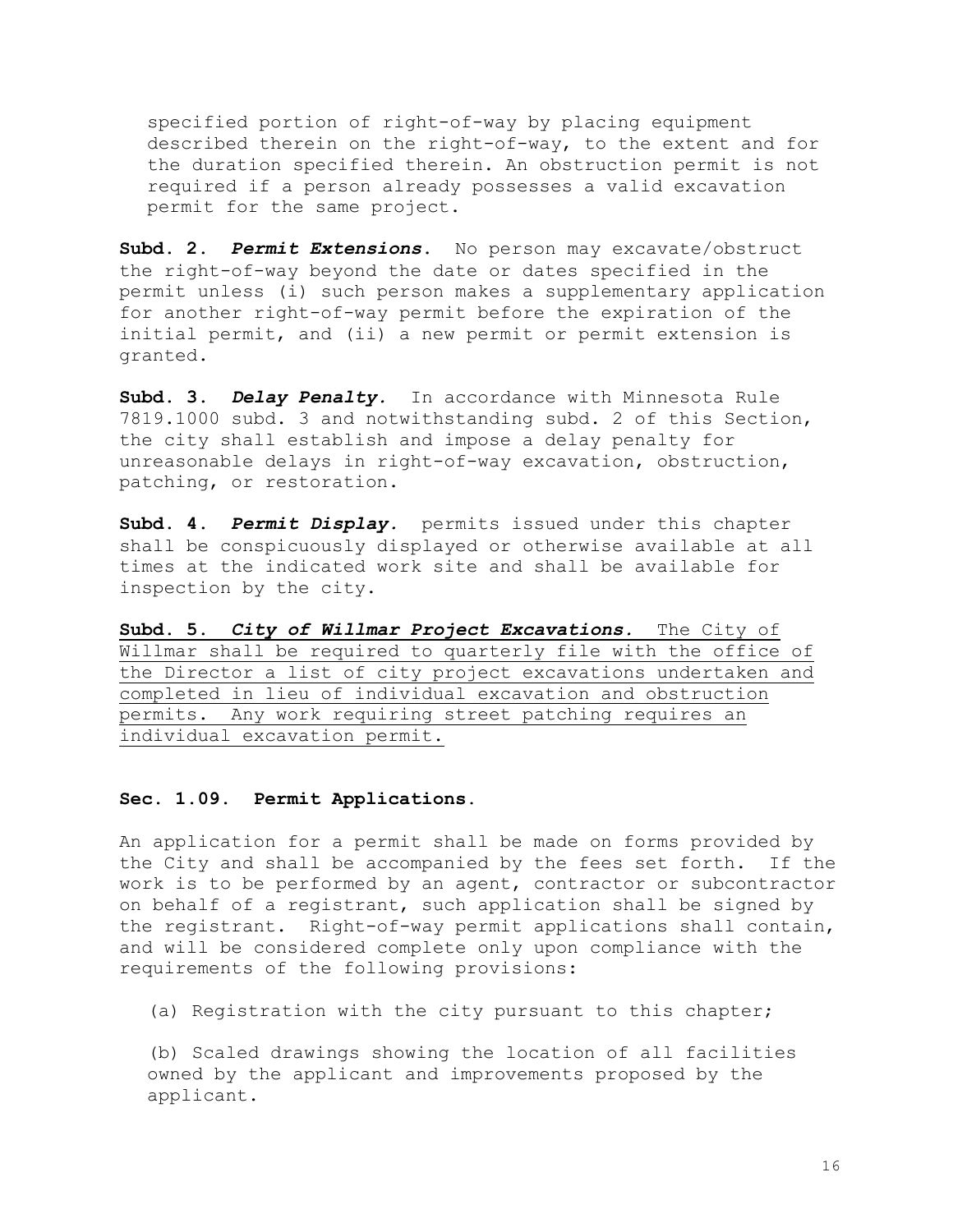specified portion of right-of-way by placing equipment described therein on the right-of-way, to the extent and for the duration specified therein. An obstruction permit is not required if a person already possesses a valid excavation permit for the same project.

**Subd. 2.** *Permit Extensions***.** No person may excavate/obstruct the right-of-way beyond the date or dates specified in the permit unless (i) such person makes a supplementary application for another right-of-way permit before the expiration of the initial permit, and (ii) a new permit or permit extension is granted.

**Subd. 3.** *Delay Penalty.* In accordance with Minnesota Rule 7819.1000 subd. 3 and notwithstanding subd. 2 of this Section, the city shall establish and impose a delay penalty for unreasonable delays in right-of-way excavation, obstruction, patching, or restoration.

**Subd. 4.** *Permit Display.* permits issued under this chapter shall be conspicuously displayed or otherwise available at all times at the indicated work site and shall be available for inspection by the city.

**Subd. 5.** *City of Willmar Project Excavations.* The City of Willmar shall be required to quarterly file with the office of the Director a list of city project excavations undertaken and completed in lieu of individual excavation and obstruction permits. Any work requiring street patching requires an individual excavation permit.

#### **Sec. 1.09. Permit Applications.**

An application for a permit shall be made on forms provided by the City and shall be accompanied by the fees set forth. If the work is to be performed by an agent, contractor or subcontractor on behalf of a registrant, such application shall be signed by the registrant. Right-of-way permit applications shall contain, and will be considered complete only upon compliance with the requirements of the following provisions:

(a) Registration with the city pursuant to this chapter;

(b) Scaled drawings showing the location of all facilities owned by the applicant and improvements proposed by the applicant.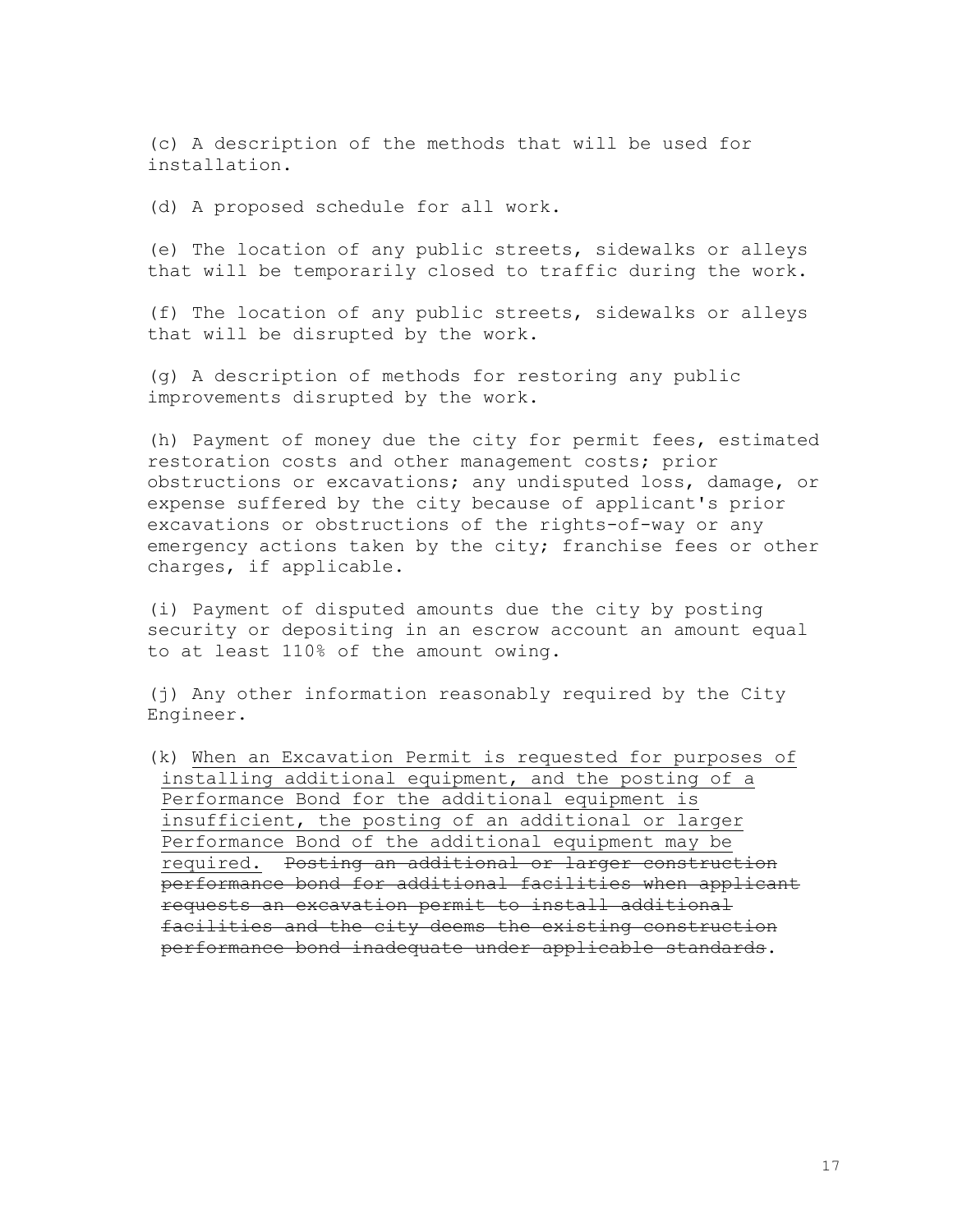(c) A description of the methods that will be used for installation.

(d) A proposed schedule for all work.

(e) The location of any public streets, sidewalks or alleys that will be temporarily closed to traffic during the work.

(f) The location of any public streets, sidewalks or alleys that will be disrupted by the work.

(g) A description of methods for restoring any public improvements disrupted by the work.

(h) Payment of money due the city for permit fees, estimated restoration costs and other management costs; prior obstructions or excavations; any undisputed loss, damage, or expense suffered by the city because of applicant's prior excavations or obstructions of the rights-of-way or any emergency actions taken by the city; franchise fees or other charges, if applicable.

(i) Payment of disputed amounts due the city by posting security or depositing in an escrow account an amount equal to at least 110% of the amount owing.

(j) Any other information reasonably required by the City Engineer.

(k) When an Excavation Permit is requested for purposes of installing additional equipment, and the posting of a Performance Bond for the additional equipment is insufficient, the posting of an additional or larger Performance Bond of the additional equipment may be required. Posting an additional or larger construction performance bond for additional facilities when applicant requests an excavation permit to install additional facilities and the city deems the existing construction performance bond inadequate under applicable standards.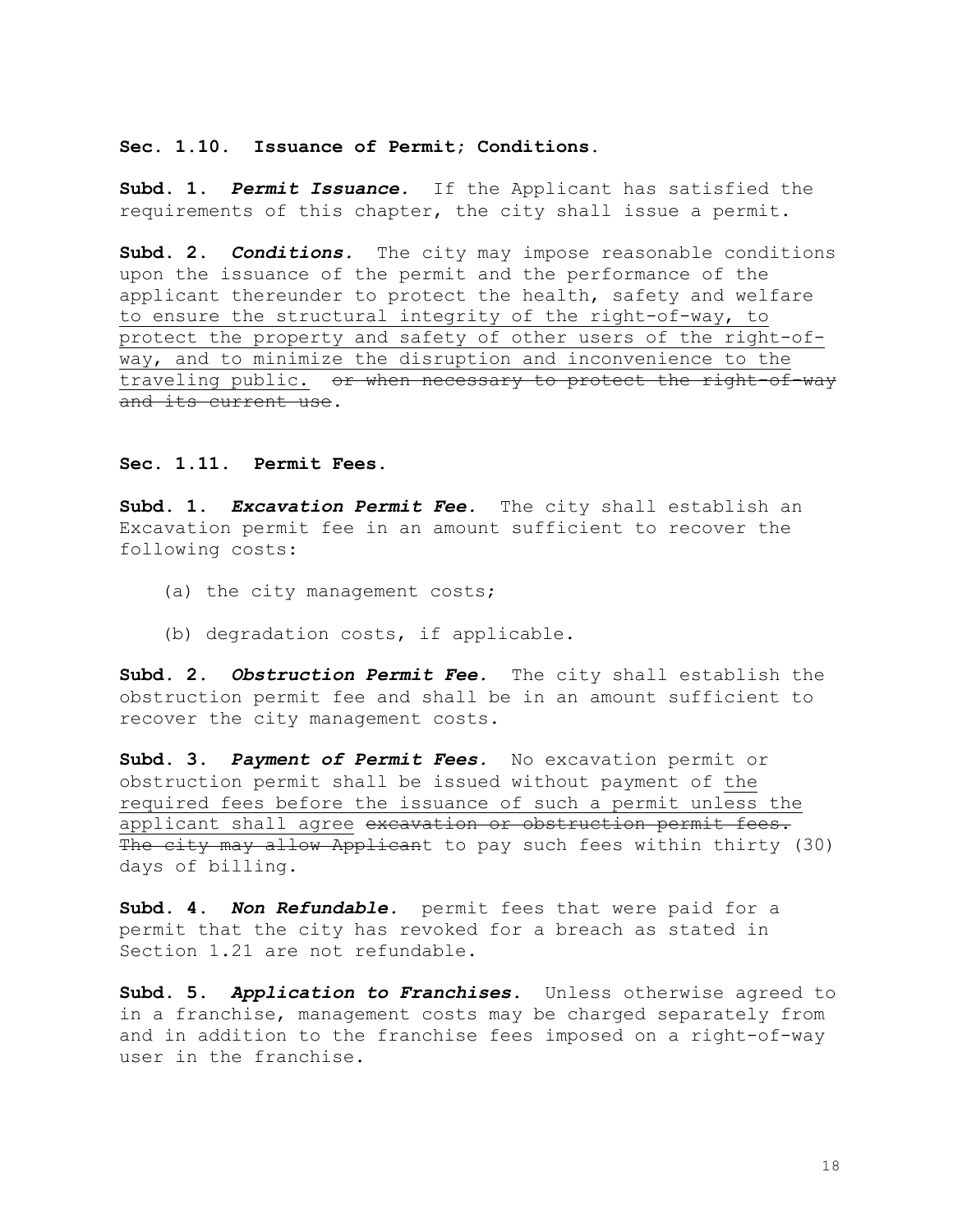# **Sec. 1.10. Issuance of Permit; Conditions.**

**Subd. 1.** *Permit Issuance.*If the Applicant has satisfied the requirements of this chapter, the city shall issue a permit.

**Subd. 2.** *Conditions.*The city may impose reasonable conditions upon the issuance of the permit and the performance of the applicant thereunder to protect the health, safety and welfare to ensure the structural integrity of the right-of-way, to protect the property and safety of other users of the right-ofway, and to minimize the disruption and inconvenience to the traveling public. or when necessary to protect the right-of-way and its current use.

#### **Sec. 1.11. Permit Fees.**

**Subd. 1.** *Excavation Permit Fee.*The city shall establish an Excavation permit fee in an amount sufficient to recover the following costs:

- (a) the city management costs;
- (b) degradation costs, if applicable.

**Subd. 2.** *Obstruction Permit Fee.* The city shall establish the obstruction permit fee and shall be in an amount sufficient to recover the city management costs.

**Subd. 3.** *Payment of Permit Fees.* No excavation permit or obstruction permit shall be issued without payment of the required fees before the issuance of such a permit unless the applicant shall agree excavation or obstruction permit fees. The city may allow Applicant to pay such fees within thirty (30) days of billing.

**Subd. 4.** *Non Refundable.* permit fees that were paid for a permit that the city has revoked for a breach as stated in Section 1.21 are not refundable.

**Subd. 5.** *Application to Franchises.* Unless otherwise agreed to in a franchise, management costs may be charged separately from and in addition to the franchise fees imposed on a right-of-way user in the franchise.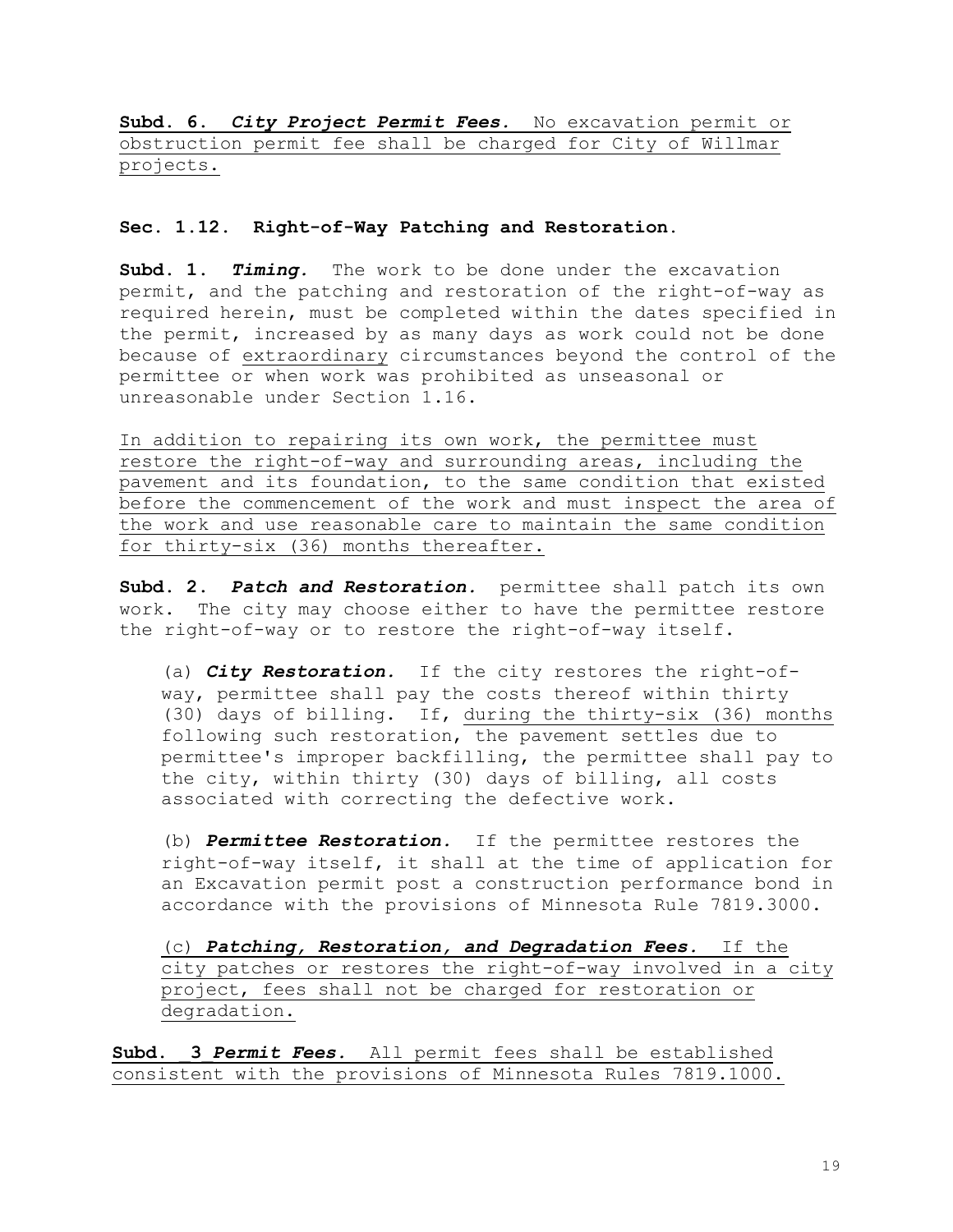**Subd. 6.** *City Project Permit Fees.* No excavation permit or obstruction permit fee shall be charged for City of Willmar projects.

#### **Sec. 1.12. Right-of-Way Patching and Restoration.**

**Subd. 1.** *Timing.* The work to be done under the excavation permit, and the patching and restoration of the right-of-way as required herein, must be completed within the dates specified in the permit, increased by as many days as work could not be done because of extraordinary circumstances beyond the control of the permittee or when work was prohibited as unseasonal or unreasonable under Section 1.16.

In addition to repairing its own work, the permittee must restore the right-of-way and surrounding areas, including the pavement and its foundation, to the same condition that existed before the commencement of the work and must inspect the area of the work and use reasonable care to maintain the same condition for thirty-six (36) months thereafter.

**Subd. 2.** *Patch and Restoration.* permittee shall patch its own work. The city may choose either to have the permittee restore the right-of-way or to restore the right-of-way itself.

(a) *City Restoration.* If the city restores the right-ofway, permittee shall pay the costs thereof within thirty (30) days of billing. If, during the thirty-six (36) months following such restoration, the pavement settles due to permittee's improper backfilling, the permittee shall pay to the city, within thirty (30) days of billing, all costs associated with correcting the defective work.

(b) *Permittee Restoration.* If the permittee restores the right-of-way itself, it shall at the time of application for an Excavation permit post a construction performance bond in accordance with the provisions of Minnesota Rule 7819.3000.

(c) *Patching, Restoration, and Degradation Fees.* If the city patches or restores the right-of-way involved in a city project, fees shall not be charged for restoration or degradation.

Subd. 3 Permit Fees. All permit fees shall be established consistent with the provisions of Minnesota Rules 7819.1000.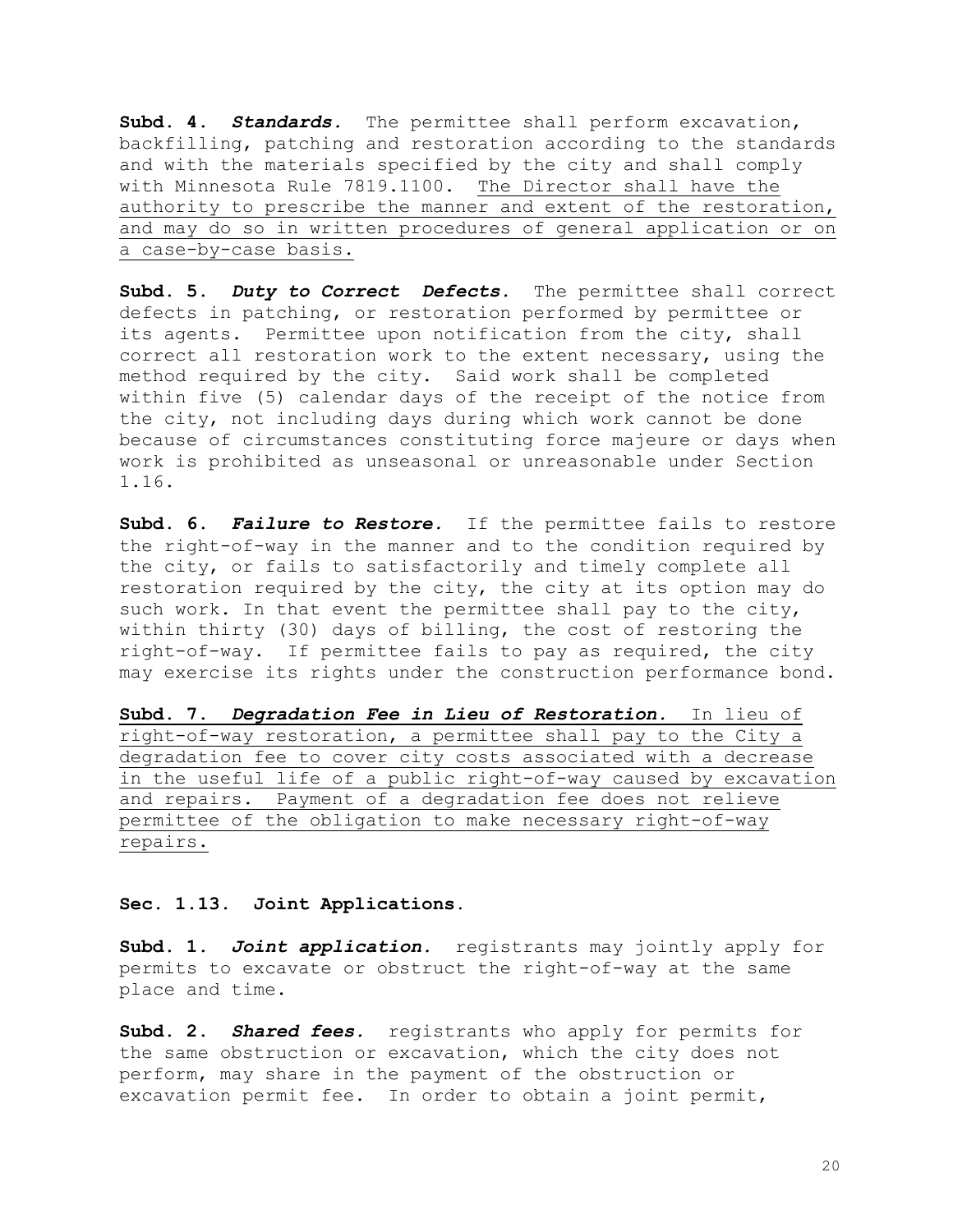**Subd. 4.** *Standards.*The permittee shall perform excavation, backfilling, patching and restoration according to the standards and with the materials specified by the city and shall comply with Minnesota Rule 7819.1100. The Director shall have the authority to prescribe the manner and extent of the restoration, and may do so in written procedures of general application or on a case-by-case basis.

**Subd. 5.** *Duty to Correct Defects.* The permittee shall correct defects in patching, or restoration performed by permittee or its agents. Permittee upon notification from the city, shall correct all restoration work to the extent necessary, using the method required by the city. Said work shall be completed within five (5) calendar days of the receipt of the notice from the city, not including days during which work cannot be done because of circumstances constituting force majeure or days when work is prohibited as unseasonal or unreasonable under Section 1.16.

**Subd. 6.** *Failure to Restore.* If the permittee fails to restore the right-of-way in the manner and to the condition required by the city, or fails to satisfactorily and timely complete all restoration required by the city, the city at its option may do such work. In that event the permittee shall pay to the city, within thirty (30) days of billing, the cost of restoring the right-of-way. If permittee fails to pay as required, the city may exercise its rights under the construction performance bond.

**Subd. 7.** *Degradation Fee in Lieu of Restoration.* In lieu of right-of-way restoration, a permittee shall pay to the City a degradation fee to cover city costs associated with a decrease in the useful life of a public right-of-way caused by excavation and repairs. Payment of a degradation fee does not relieve permittee of the obligation to make necessary right-of-way repairs.

**Sec. 1.13. Joint Applications.**

**Subd. 1.** *Joint application.* registrants may jointly apply for permits to excavate or obstruct the right-of-way at the same place and time.

**Subd. 2.** *Shared fees.*registrants who apply for permits for the same obstruction or excavation, which the city does not perform, may share in the payment of the obstruction or excavation permit fee. In order to obtain a joint permit,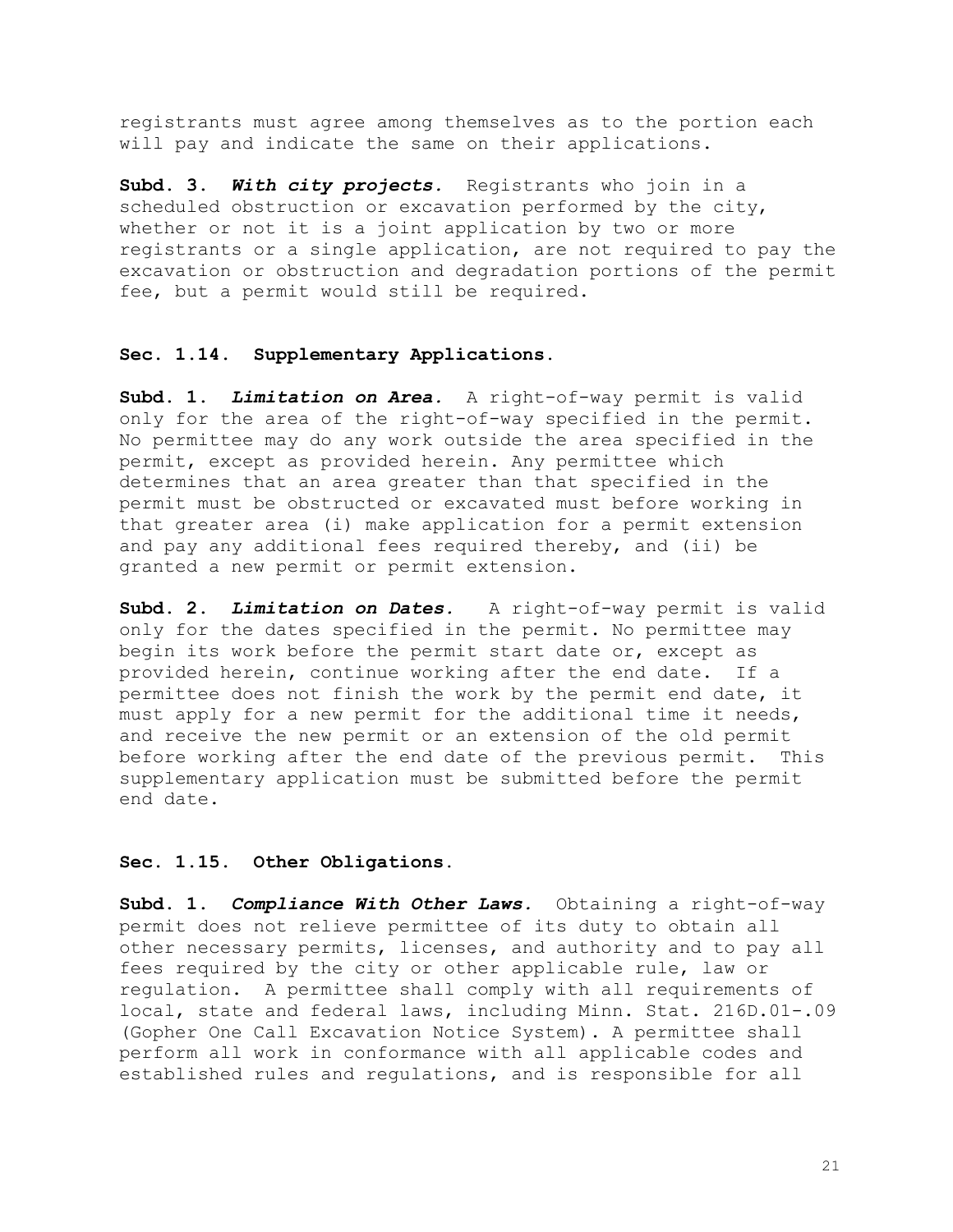registrants must agree among themselves as to the portion each will pay and indicate the same on their applications.

**Subd. 3.** *With city projects.* Registrants who join in a scheduled obstruction or excavation performed by the city, whether or not it is a joint application by two or more registrants or a single application, are not required to pay the excavation or obstruction and degradation portions of the permit fee, but a permit would still be required.

# **Sec. 1.14. Supplementary Applications.**

**Subd. 1.** *Limitation on Area.* A right-of-way permit is valid only for the area of the right-of-way specified in the permit. No permittee may do any work outside the area specified in the permit, except as provided herein. Any permittee which determines that an area greater than that specified in the permit must be obstructed or excavated must before working in that greater area (i) make application for a permit extension and pay any additional fees required thereby, and (ii) be granted a new permit or permit extension.

**Subd. 2.** *Limitation on Dates.*A right-of-way permit is valid only for the dates specified in the permit. No permittee may begin its work before the permit start date or, except as provided herein, continue working after the end date. If a permittee does not finish the work by the permit end date, it must apply for a new permit for the additional time it needs, and receive the new permit or an extension of the old permit before working after the end date of the previous permit. This supplementary application must be submitted before the permit end date.

#### **Sec. 1.15. Other Obligations.**

**Subd. 1.** *Compliance With Other Laws.* Obtaining a right-of-way permit does not relieve permittee of its duty to obtain all other necessary permits, licenses, and authority and to pay all fees required by the city or other applicable rule, law or regulation. A permittee shall comply with all requirements of local, state and federal laws, including Minn. Stat. 216D.01-.09 (Gopher One Call Excavation Notice System). A permittee shall perform all work in conformance with all applicable codes and established rules and regulations, and is responsible for all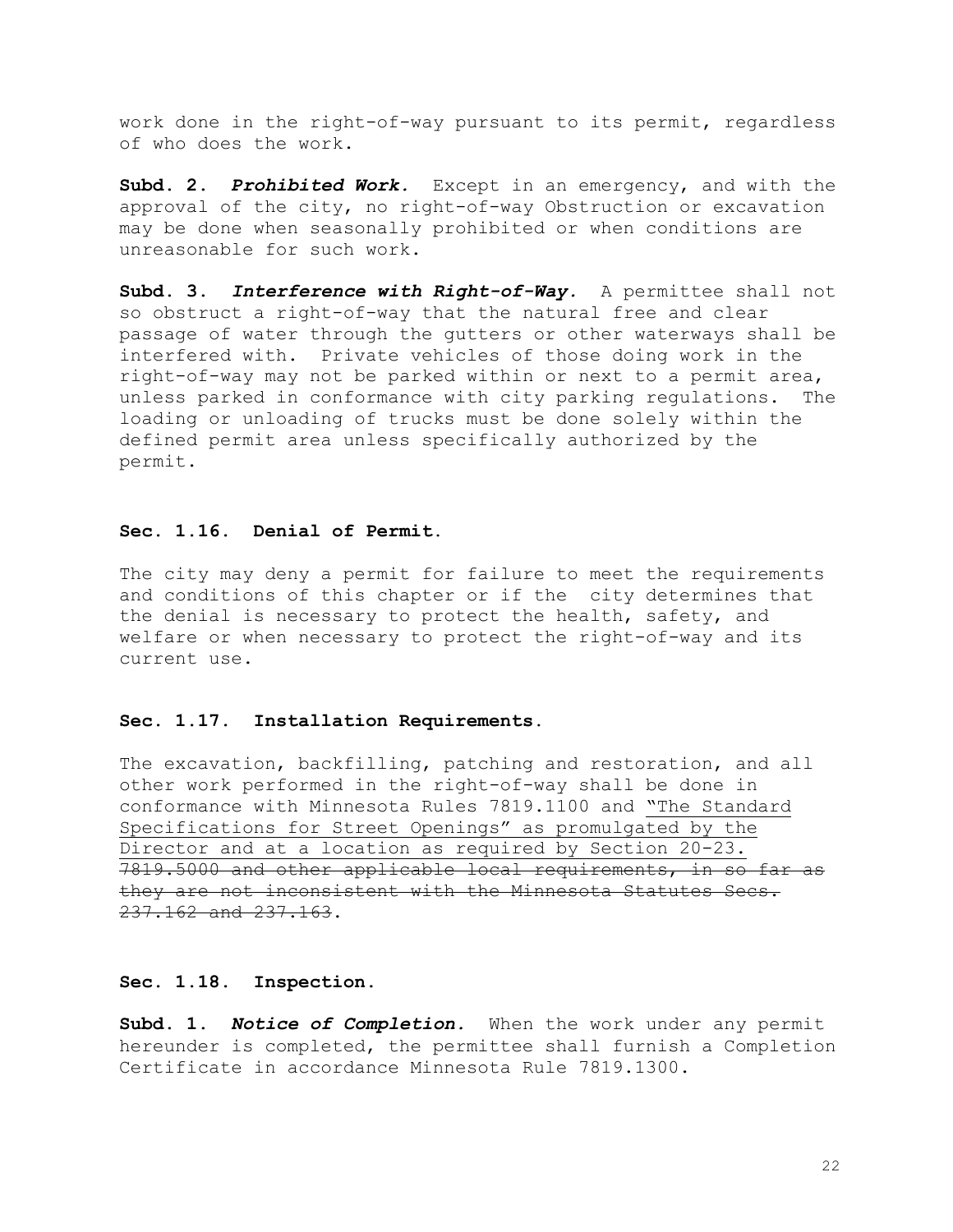work done in the right-of-way pursuant to its permit, regardless of who does the work.

**Subd. 2.** *Prohibited Work.*Except in an emergency, and with the approval of the city, no right-of-way Obstruction or excavation may be done when seasonally prohibited or when conditions are unreasonable for such work.

**Subd. 3.** *Interference with Right-of-Way.* A permittee shall not so obstruct a right-of-way that the natural free and clear passage of water through the gutters or other waterways shall be interfered with. Private vehicles of those doing work in the right-of-way may not be parked within or next to a permit area, unless parked in conformance with city parking regulations. The loading or unloading of trucks must be done solely within the defined permit area unless specifically authorized by the permit.

# **Sec. 1.16. Denial of Permit.**

The city may deny a permit for failure to meet the requirements and conditions of this chapter or if the city determines that the denial is necessary to protect the health, safety, and welfare or when necessary to protect the right-of-way and its current use.

#### **Sec. 1.17. Installation Requirements.**

The excavation, backfilling, patching and restoration, and all other work performed in the right-of-way shall be done in conformance with Minnesota Rules 7819.1100 and "The Standard Specifications for Street Openings" as promulgated by the Director and at a location as required by Section 20-23. 7819.5000 and other applicable local requirements, in so far as they are not inconsistent with the Minnesota Statutes Secs. 237.162 and 237.163.

#### **Sec. 1.18. Inspection.**

**Subd. 1.** *Notice of Completion.* When the work under any permit hereunder is completed, the permittee shall furnish a Completion Certificate in accordance Minnesota Rule 7819.1300.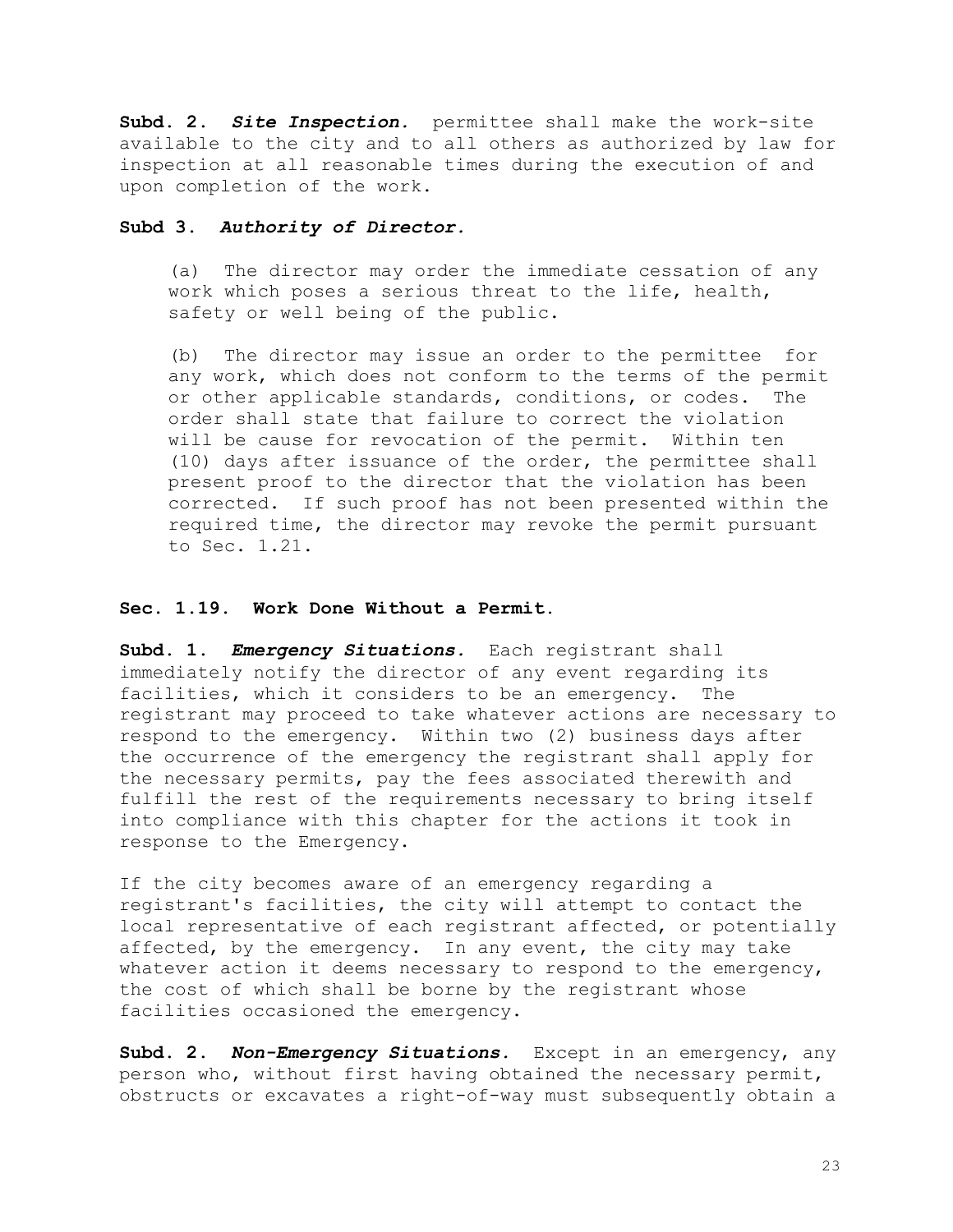**Subd. 2.** *Site Inspection.*permittee shall make the work-site available to the city and to all others as authorized by law for inspection at all reasonable times during the execution of and upon completion of the work.

#### **Subd 3.** *Authority of Director.*

(a) The director may order the immediate cessation of any work which poses a serious threat to the life, health, safety or well being of the public.

(b) The director may issue an order to the permittee for any work, which does not conform to the terms of the permit or other applicable standards, conditions, or codes. The order shall state that failure to correct the violation will be cause for revocation of the permit. Within ten (10) days after issuance of the order, the permittee shall present proof to the director that the violation has been corrected. If such proof has not been presented within the required time, the director may revoke the permit pursuant to Sec. 1.21.

#### **Sec. 1.19. Work Done Without a Permit.**

**Subd. 1.** *Emergency Situations.* Each registrant shall immediately notify the director of any event regarding its facilities, which it considers to be an emergency. The registrant may proceed to take whatever actions are necessary to respond to the emergency. Within two (2) business days after the occurrence of the emergency the registrant shall apply for the necessary permits, pay the fees associated therewith and fulfill the rest of the requirements necessary to bring itself into compliance with this chapter for the actions it took in response to the Emergency.

If the city becomes aware of an emergency regarding a registrant's facilities, the city will attempt to contact the local representative of each registrant affected, or potentially affected, by the emergency. In any event, the city may take whatever action it deems necessary to respond to the emergency, the cost of which shall be borne by the registrant whose facilities occasioned the emergency.

**Subd. 2.** *Non-Emergency Situations.* Except in an emergency, any person who, without first having obtained the necessary permit, obstructs or excavates a right-of-way must subsequently obtain a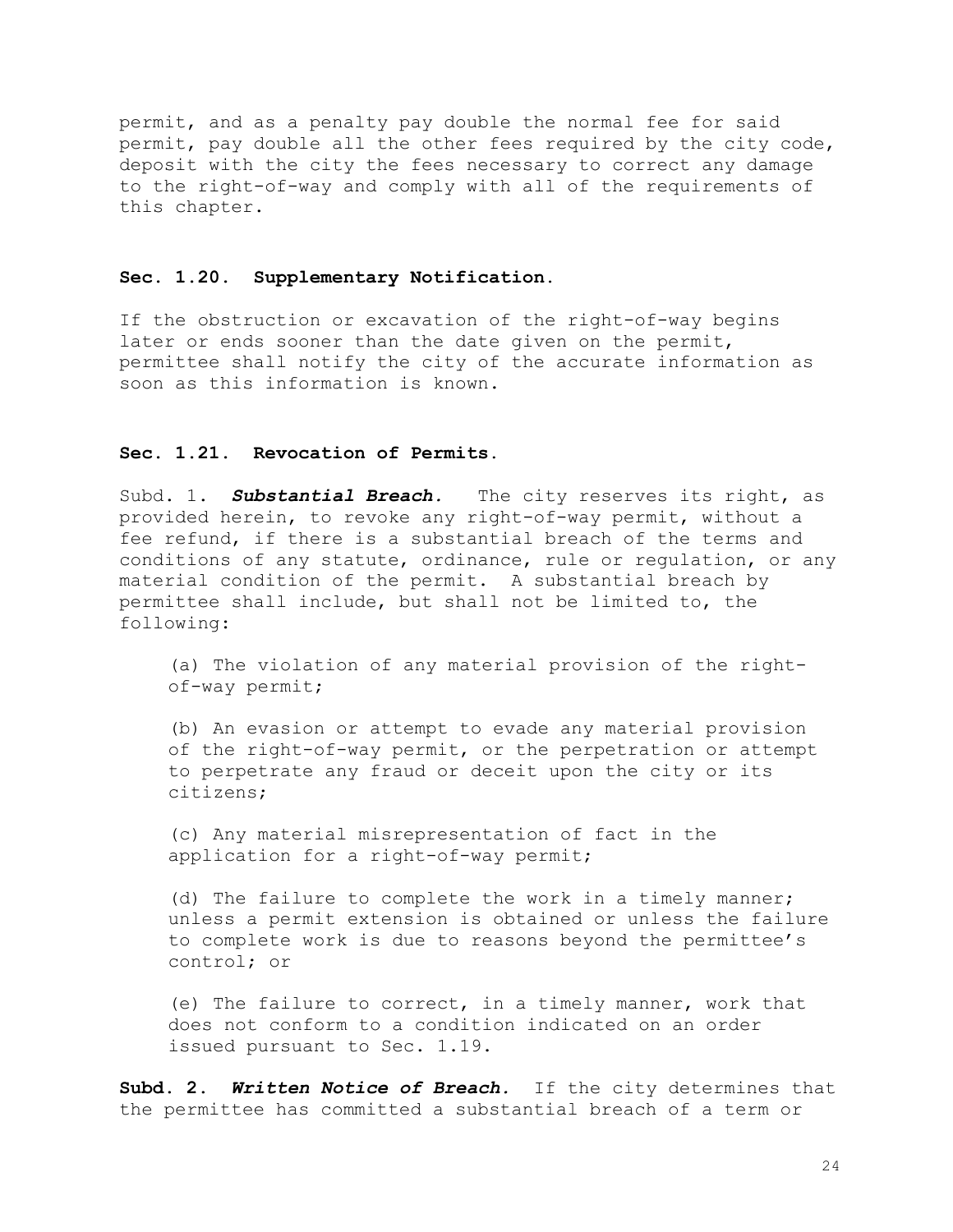permit, and as a penalty pay double the normal fee for said permit, pay double all the other fees required by the city code, deposit with the city the fees necessary to correct any damage to the right-of-way and comply with all of the requirements of this chapter.

#### **Sec. 1.20. Supplementary Notification.**

If the obstruction or excavation of the right-of-way begins later or ends sooner than the date given on the permit, permittee shall notify the city of the accurate information as soon as this information is known.

#### **Sec. 1.21. Revocation of Permits.**

Subd. 1. **Substantial Breach**. The city reserves its right, as provided herein, to revoke any right-of-way permit, without a fee refund, if there is a substantial breach of the terms and conditions of any statute, ordinance, rule or regulation, or any material condition of the permit. A substantial breach by permittee shall include, but shall not be limited to, the following:

(a) The violation of any material provision of the rightof-way permit;

(b) An evasion or attempt to evade any material provision of the right-of-way permit, or the perpetration or attempt to perpetrate any fraud or deceit upon the city or its citizens;

(c) Any material misrepresentation of fact in the application for a right-of-way permit;

(d) The failure to complete the work in a timely manner; unless a permit extension is obtained or unless the failure to complete work is due to reasons beyond the permittee's control; or

(e) The failure to correct, in a timely manner, work that does not conform to a condition indicated on an order issued pursuant to Sec. 1.19.

**Subd. 2.** *Written Notice of Breach.*If the city determines that the permittee has committed a substantial breach of a term or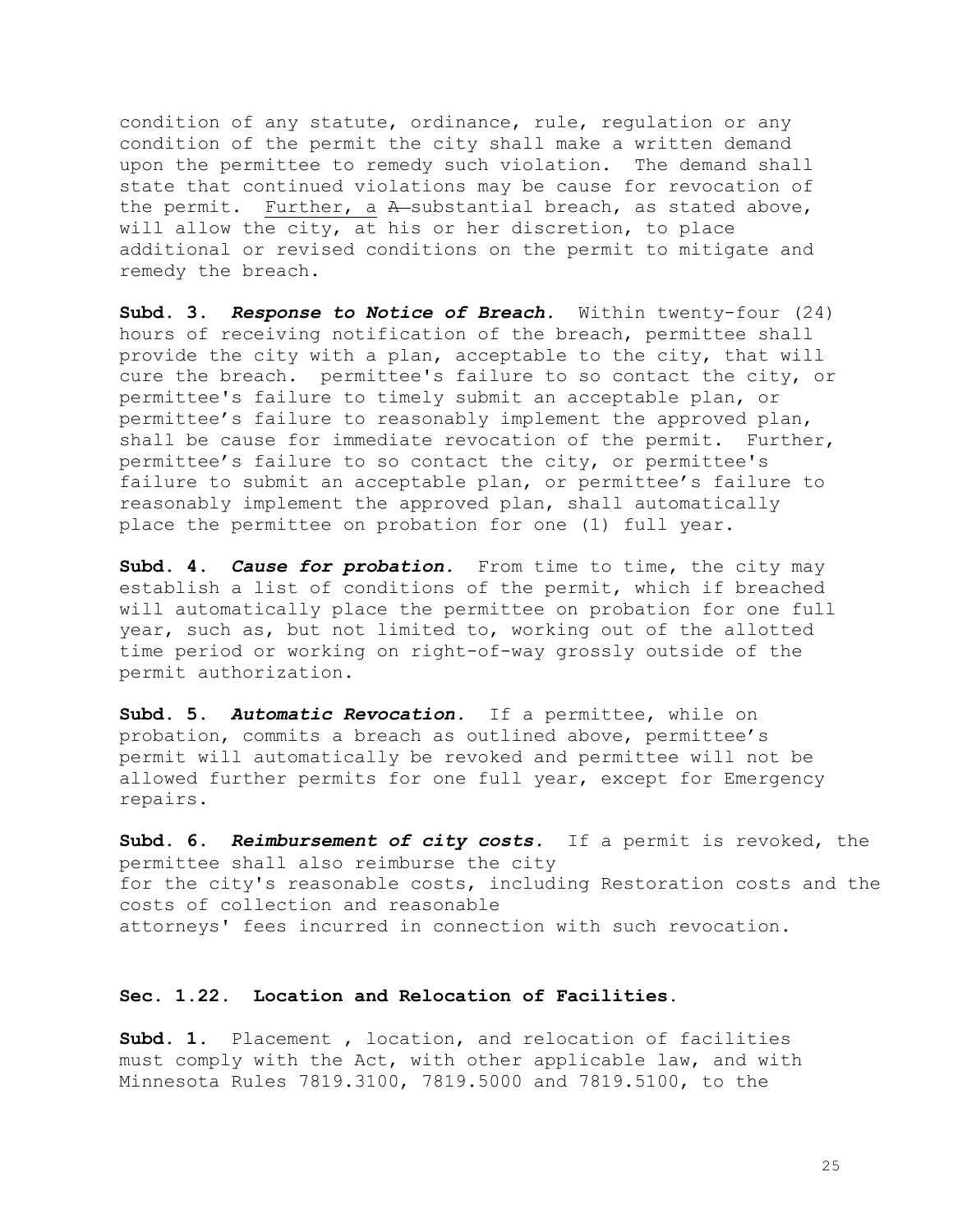condition of any statute, ordinance, rule, regulation or any condition of the permit the city shall make a written demand upon the permittee to remedy such violation. The demand shall state that continued violations may be cause for revocation of the permit. Further, a A-substantial breach, as stated above, will allow the city, at his or her discretion, to place additional or revised conditions on the permit to mitigate and remedy the breach.

**Subd. 3.** *Response to Notice of Breach.* Within twenty-four (24) hours of receiving notification of the breach, permittee shall provide the city with a plan, acceptable to the city, that will cure the breach. permittee's failure to so contact the city, or permittee's failure to timely submit an acceptable plan, or permittee's failure to reasonably implement the approved plan, shall be cause for immediate revocation of the permit. Further, permittee's failure to so contact the city, or permittee's failure to submit an acceptable plan, or permittee's failure to reasonably implement the approved plan, shall automatically place the permittee on probation for one (1) full year.

**Subd. 4.** *Cause for probation.*From time to time, the city may establish a list of conditions of the permit, which if breached will automatically place the permittee on probation for one full year, such as, but not limited to, working out of the allotted time period or working on right-of-way grossly outside of the permit authorization.

**Subd. 5.** *Automatic Revocation.* If a permittee, while on probation, commits a breach as outlined above, permittee's permit will automatically be revoked and permittee will not be allowed further permits for one full year, except for Emergency repairs.

**Subd. 6.** *Reimbursement of city costs.*If a permit is revoked, the permittee shall also reimburse the city for the city's reasonable costs, including Restoration costs and the costs of collection and reasonable attorneys' fees incurred in connection with such revocation.

#### **Sec. 1.22. Location and Relocation of Facilities.**

**Subd. 1.** Placement , location, and relocation of facilities must comply with the Act, with other applicable law, and with Minnesota Rules 7819.3100, 7819.5000 and 7819.5100, to the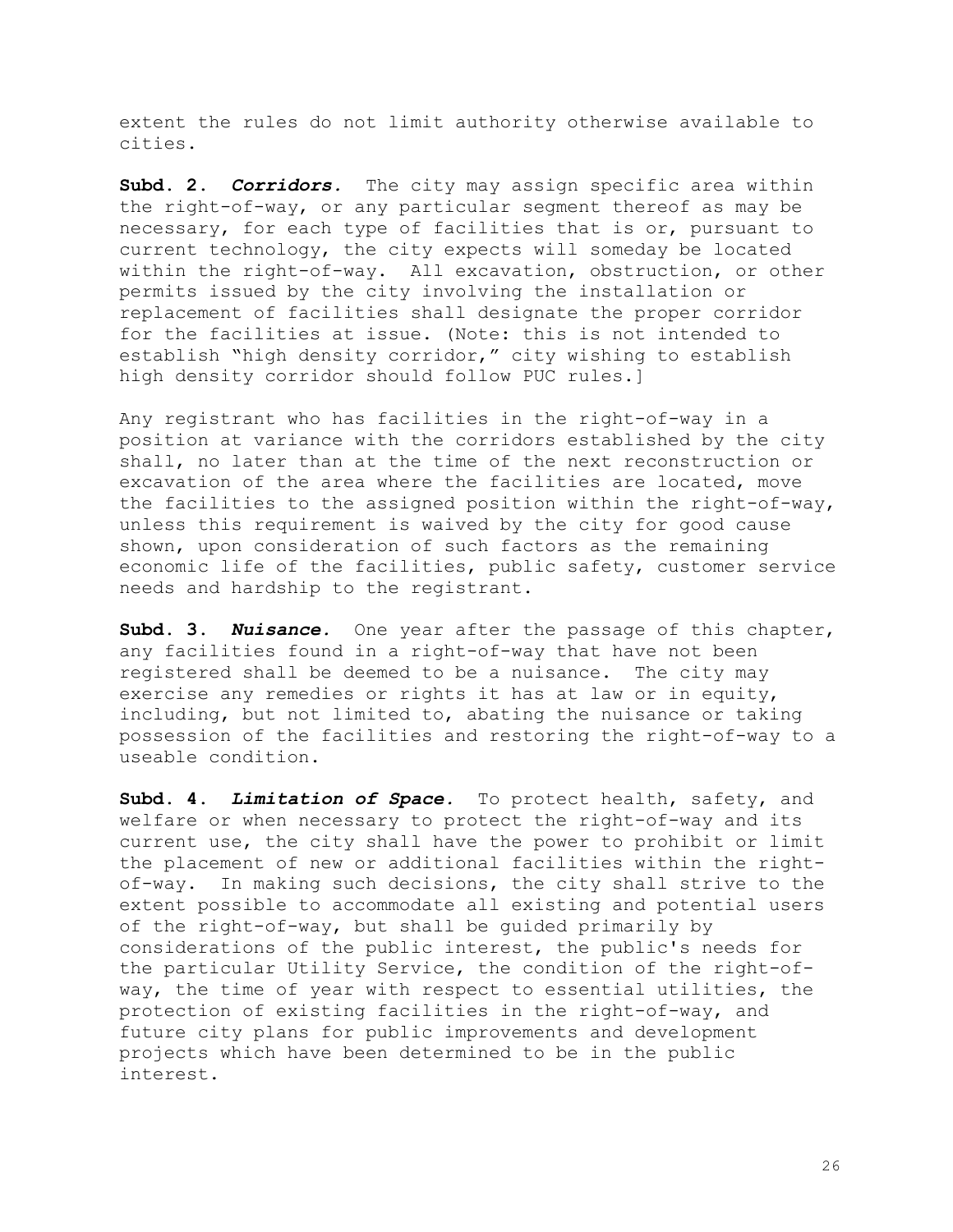extent the rules do not limit authority otherwise available to cities.

**Subd. 2.** *Corridors.* The city may assign specific area within the right-of-way, or any particular segment thereof as may be necessary, for each type of facilities that is or, pursuant to current technology, the city expects will someday be located within the right-of-way. All excavation, obstruction, or other permits issued by the city involving the installation or replacement of facilities shall designate the proper corridor for the facilities at issue. (Note: this is not intended to establish "high density corridor," city wishing to establish high density corridor should follow PUC rules.]

Any registrant who has facilities in the right-of-way in a position at variance with the corridors established by the city shall, no later than at the time of the next reconstruction or excavation of the area where the facilities are located, move the facilities to the assigned position within the right-of-way, unless this requirement is waived by the city for good cause shown, upon consideration of such factors as the remaining economic life of the facilities, public safety, customer service needs and hardship to the registrant.

**Subd. 3.** *Nuisance.* One year after the passage of this chapter, any facilities found in a right-of-way that have not been registered shall be deemed to be a nuisance. The city may exercise any remedies or rights it has at law or in equity, including, but not limited to, abating the nuisance or taking possession of the facilities and restoring the right-of-way to a useable condition.

**Subd. 4.** *Limitation of Space.* To protect health, safety, and welfare or when necessary to protect the right-of-way and its current use, the city shall have the power to prohibit or limit the placement of new or additional facilities within the rightof-way. In making such decisions, the city shall strive to the extent possible to accommodate all existing and potential users of the right-of-way, but shall be guided primarily by considerations of the public interest, the public's needs for the particular Utility Service, the condition of the right-ofway, the time of year with respect to essential utilities, the protection of existing facilities in the right-of-way, and future city plans for public improvements and development projects which have been determined to be in the public interest.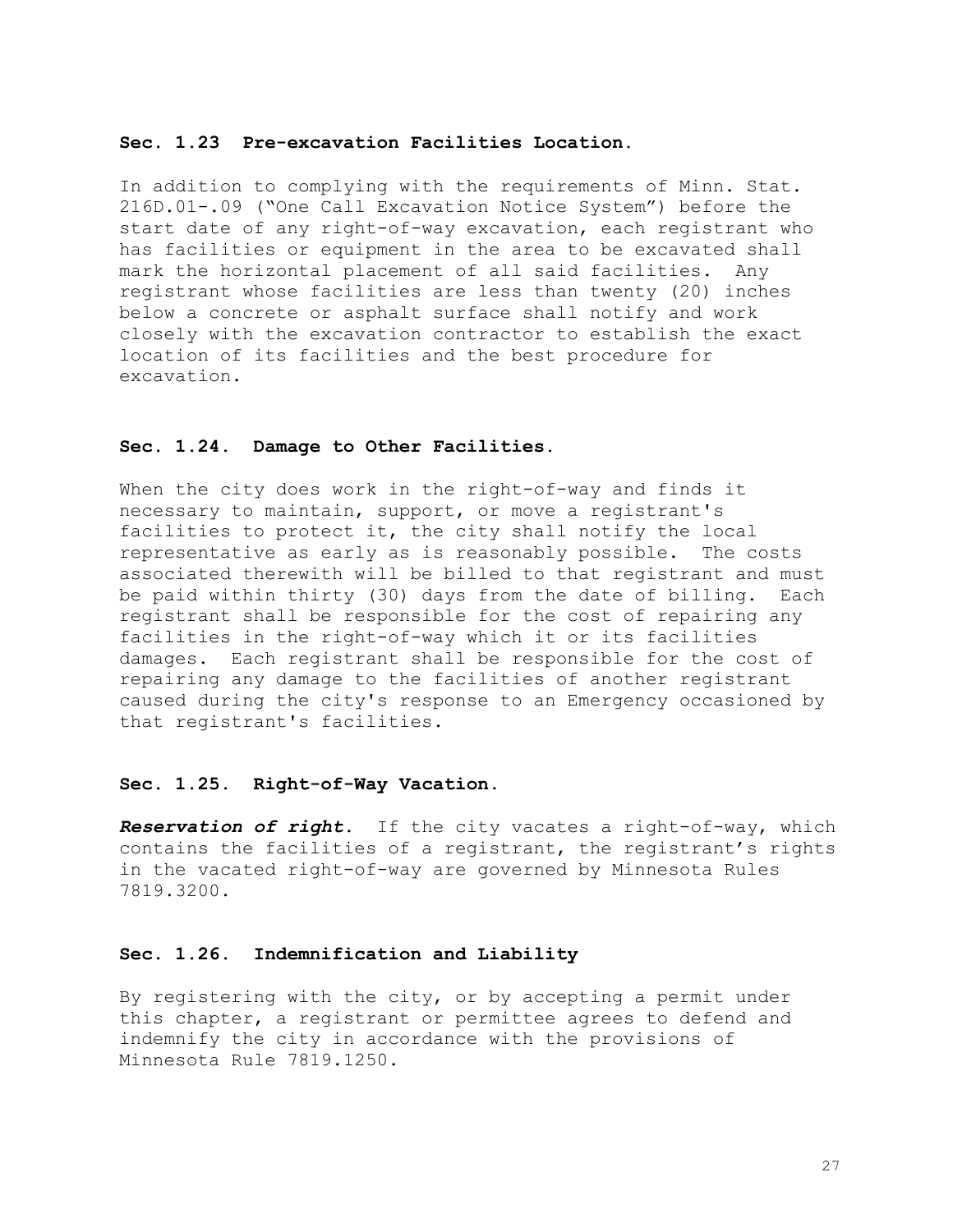#### **Sec. 1.23 Pre-excavation Facilities Location.**

In addition to complying with the requirements of Minn. Stat. 216D.01-.09 ("One Call Excavation Notice System") before the start date of any right-of-way excavation, each registrant who has facilities or equipment in the area to be excavated shall mark the horizontal placement of all said facilities. Any registrant whose facilities are less than twenty (20) inches below a concrete or asphalt surface shall notify and work closely with the excavation contractor to establish the exact location of its facilities and the best procedure for excavation.

#### **Sec. 1.24. Damage to Other Facilities.**

When the city does work in the right-of-way and finds it necessary to maintain, support, or move a registrant's facilities to protect it, the city shall notify the local representative as early as is reasonably possible. The costs associated therewith will be billed to that registrant and must be paid within thirty (30) days from the date of billing. Each registrant shall be responsible for the cost of repairing any facilities in the right-of-way which it or its facilities damages. Each registrant shall be responsible for the cost of repairing any damage to the facilities of another registrant caused during the city's response to an Emergency occasioned by that registrant's facilities.

#### **Sec. 1.25. Right-of-Way Vacation.**

*Reservation of right.*If the city vacates a right-of-way, which contains the facilities of a registrant, the registrant's rights in the vacated right-of-way are governed by Minnesota Rules 7819.3200.

#### **Sec. 1.26. Indemnification and Liability**

By registering with the city, or by accepting a permit under this chapter, a registrant or permittee agrees to defend and indemnify the city in accordance with the provisions of Minnesota Rule 7819.1250.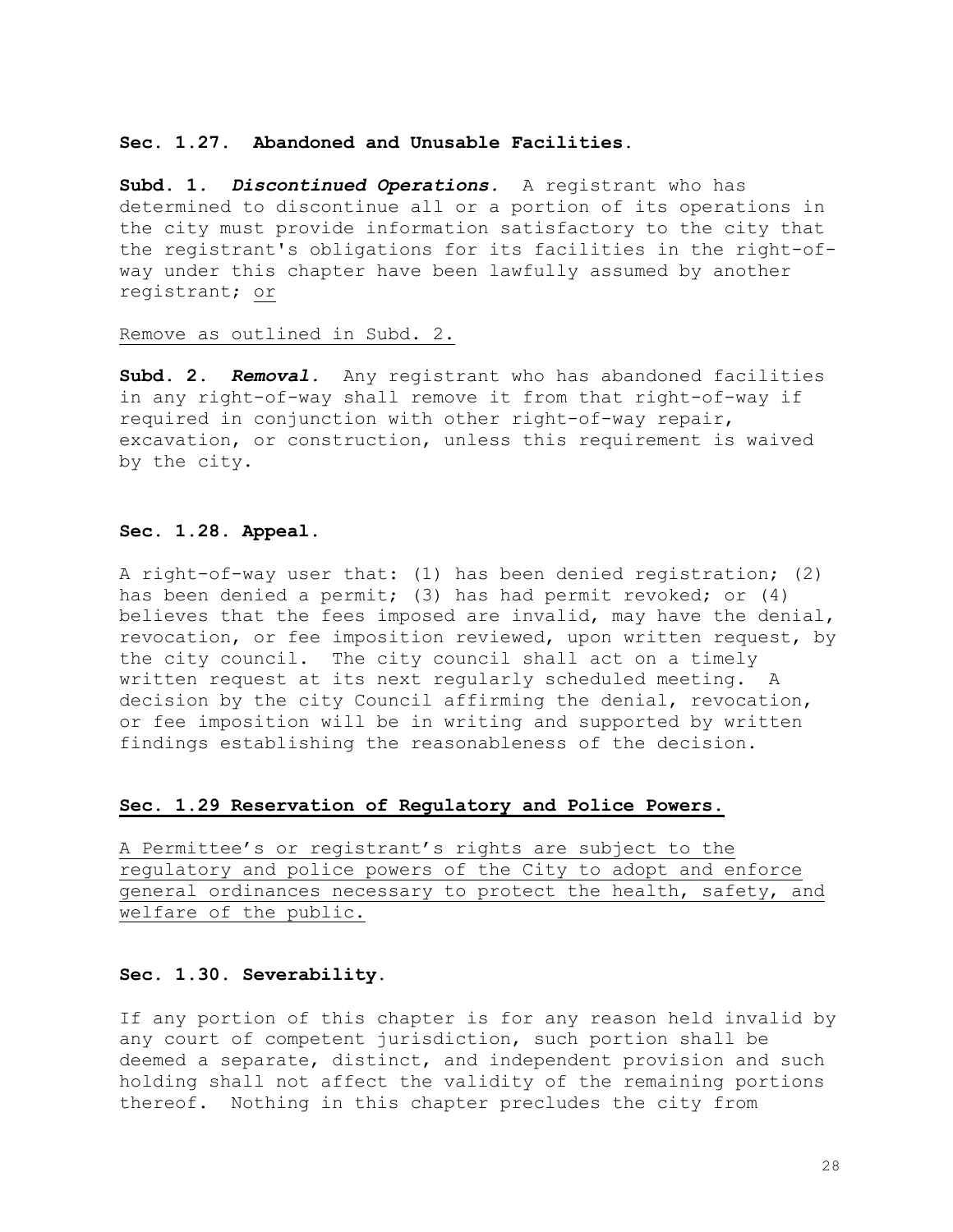#### **Sec. 1.27. Abandoned and Unusable Facilities.**

**Subd. 1***. Discontinued Operations.*A registrant who has determined to discontinue all or a portion of its operations in the city must provide information satisfactory to the city that the registrant's obligations for its facilities in the right-ofway under this chapter have been lawfully assumed by another registrant; or

#### Remove as outlined in Subd. 2.

**Subd. 2.** *Removal.*Any registrant who has abandoned facilities in any right-of-way shall remove it from that right-of-way if required in conjunction with other right-of-way repair, excavation, or construction, unless this requirement is waived by the city.

#### **Sec. 1.28. Appeal.**

A right-of-way user that: (1) has been denied registration; (2) has been denied a permit; (3) has had permit revoked; or (4) believes that the fees imposed are invalid, may have the denial, revocation, or fee imposition reviewed, upon written request, by the city council. The city council shall act on a timely written request at its next regularly scheduled meeting. A decision by the city Council affirming the denial, revocation, or fee imposition will be in writing and supported by written findings establishing the reasonableness of the decision.

#### **Sec. 1.29 Reservation of Regulatory and Police Powers.**

A Permittee's or registrant's rights are subject to the regulatory and police powers of the City to adopt and enforce general ordinances necessary to protect the health, safety, and welfare of the public.

# **Sec. 1.30. Severability.**

If any portion of this chapter is for any reason held invalid by any court of competent jurisdiction, such portion shall be deemed a separate, distinct, and independent provision and such holding shall not affect the validity of the remaining portions thereof. Nothing in this chapter precludes the city from